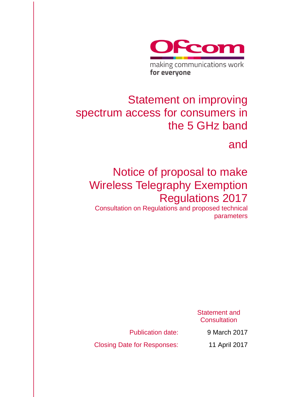

# Statement on improving spectrum access for consumers in the 5 GHz band

and

# Notice of proposal to make Wireless Telegraphy Exemption Regulations 2017

Consultation on Regulations and proposed technical parameters

> Statement and **Consultation**

Publication date: 9 March 2017

Closing Date for Responses: 11 April 2017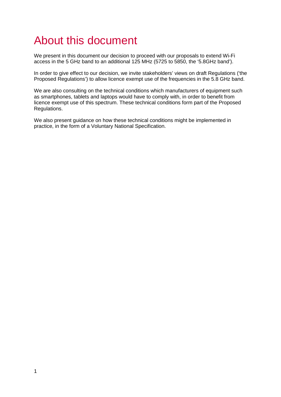# About this document

We present in this document our decision to proceed with our proposals to extend Wi-Fi access in the 5 GHz band to an additional 125 MHz (5725 to 5850, the '5.8GHz band').

In order to give effect to our decision, we invite stakeholders' views on draft Regulations ('the Proposed Regulations') to allow licence exempt use of the frequencies in the 5.8 GHz band.

We are also consulting on the technical conditions which manufacturers of equipment such as smartphones, tablets and laptops would have to comply with, in order to benefit from licence exempt use of this spectrum. These technical conditions form part of the Proposed Regulations.

We also present guidance on how these technical conditions might be implemented in practice, in the form of a Voluntary National Specification.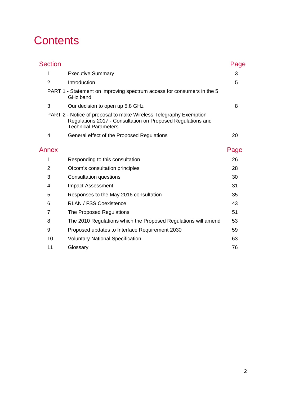# **Contents**

| <b>Section</b> |                                                                                                                                                                 | Page |
|----------------|-----------------------------------------------------------------------------------------------------------------------------------------------------------------|------|
| 1              | <b>Executive Summary</b>                                                                                                                                        | 3    |
| $\overline{2}$ | Introduction                                                                                                                                                    | 5    |
|                | PART 1 - Statement on improving spectrum access for consumers in the 5<br>GHz band                                                                              |      |
| 3              | Our decision to open up 5.8 GHz                                                                                                                                 | 8    |
|                | PART 2 - Notice of proposal to make Wireless Telegraphy Exemption<br>Regulations 2017 - Consultation on Proposed Regulations and<br><b>Technical Parameters</b> |      |
| 4              | General effect of the Proposed Regulations                                                                                                                      | 20   |
| Annex          |                                                                                                                                                                 | Page |
| 1              | Responding to this consultation                                                                                                                                 | 26   |
| $\overline{2}$ | Ofcom's consultation principles                                                                                                                                 | 28   |
| 3              | Consultation questions                                                                                                                                          | 30   |
| 4              | <b>Impact Assessment</b>                                                                                                                                        | 31   |
| 5              | Responses to the May 2016 consultation                                                                                                                          | 35   |
| 6              | <b>RLAN / FSS Coexistence</b>                                                                                                                                   | 43   |
| $\overline{7}$ | The Proposed Regulations                                                                                                                                        | 51   |
| 8              | The 2010 Regulations which the Proposed Regulations will amend                                                                                                  | 53   |
| 9              | Proposed updates to Interface Requirement 2030                                                                                                                  | 59   |
| 10             | <b>Voluntary National Specification</b>                                                                                                                         | 63   |
| 11             | Glossary                                                                                                                                                        | 76   |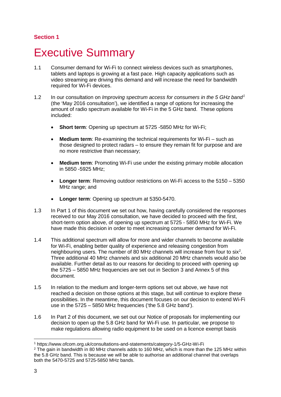### **Section 1**

# <span id="page-3-0"></span>**Executive Summary**

- 1.1 Consumer demand for Wi-Fi to connect wireless devices such as smartphones, tablets and laptops is growing at a fast pace. High capacity applications such as video streaming are driving this demand and will increase the need for bandwidth required for Wi-Fi devices.
- 1.2 In our consultation on *Improving spectrum access for consumers in the 5 GHz band[1](#page-3-1)* (the 'May 2016 consultation'), we identified a range of options for increasing the amount of radio spectrum available for Wi-Fi in the 5 GHz band. These options included:
	- **Short term:** Opening up spectrum at 5725 -5850 MHz for Wi-Fi;
	- **Medium term**: Re-examining the technical requirements for Wi-Fi such as those designed to protect radars – to ensure they remain fit for purpose and are no more restrictive than necessary;
	- **Medium term**: Promoting Wi-Fi use under the existing primary mobile allocation in 5850 -5925 MHz;
	- **Longer term**: Removing outdoor restrictions on Wi-Fi access to the 5150 5350 MHz range; and
	- **Longer term:** Opening up spectrum at 5350-5470.
- 1.3 In Part 1 of this document we set out how, having carefully considered the responses received to our May 2016 consultation, we have decided to proceed with the first, short-term option above, of opening up spectrum at 5725 - 5850 MHz for Wi-Fi. We have made this decision in order to meet increasing consumer demand for Wi-Fi.
- 1.4 This additional spectrum will allow for more and wider channels to become available for Wi-Fi, enabling better quality of experience and releasing congestion from neighbouring users. The number of 80 MHz channels will increase from four to six<sup>[2](#page-3-2)</sup>. Three additional 40 MHz channels and six additional 20 MHz channels would also be available. Further detail as to our reasons for deciding to proceed with opening up the 5725 – 5850 MHz frequencies are set out in Section 3 and Annex 5 of this document.
- 1.5 In relation to the medium and longer-term options set out above, we have not reached a decision on those options at this stage, but will continue to explore these possibilities. In the meantime, this document focuses on our decision to extend Wi-Fi use in the 5725 – 5850 MHz frequencies ('the 5.8 GHz band').
- 1.6 In Part 2 of this document, we set out our Notice of proposals for implementing our decision to open up the 5.8 GHz band for Wi-Fi use. In particular, we propose to make regulations allowing radio equipment to be used on a licence exempt basis

<span id="page-3-1"></span> <sup>1</sup> https://www.ofcom.org.uk/consultations-and-statements/category-1/5-GHz-Wi-Fi

<span id="page-3-2"></span><sup>&</sup>lt;sup>2</sup> The gain in bandwidth in 80 MHz channels adds to 160 MHz, which is more than the 125 MHz within the 5.8 GHz band. This is because we will be able to authorise an additional channel that overlaps both the 5470-5725 and 5725-5850 MHz bands.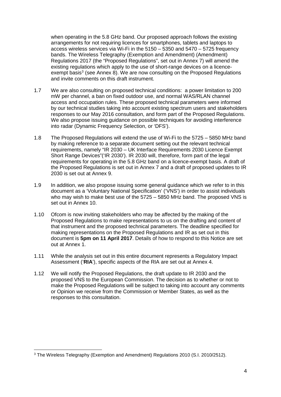when operating in the 5.8 GHz band. Our proposed approach follows the existing arrangements for not requiring licences for smartphones, tablets and laptops to access wireless services via Wi-Fi in the 5150 – 5350 and 5470 – 5725 frequency bands. The Wireless Telegraphy (Exemption and Amendment) (Amendment) Regulations 2017 (the "Proposed Regulations", set out in Annex 7) will amend the existing regulations which apply to the use of short-range devices on a licence-exempt basis<sup>[3](#page-4-0)</sup> (see Annex 8). We are now consulting on the Proposed Regulations and invite comments on this draft instrument.

- 1.7 We are also consulting on proposed technical conditions: a power limitation to 200 mW per channel, a ban on fixed outdoor use, and normal WAS/RLAN channel access and occupation rules. These proposed technical parameters were informed by our technical studies taking into account existing spectrum users and stakeholders responses to our May 2016 consultation, and form part of the Proposed Regulations. We also propose issuing guidance on possible techniques for avoiding interference into radar (Dynamic Frequency Selection, or 'DFS').
- 1.8 The Proposed Regulations will extend the use of Wi-Fi to the 5725 5850 MHz band by making reference to a separate document setting out the relevant technical requirements, namely "IR 2030 – UK Interface Requirements 2030 Licence Exempt Short Range Devices"('IR 2030'). IR 2030 will, therefore, form part of the legal requirements for operating in the 5.8 GHz band on a licence-exempt basis. A draft of the Proposed Regulations is set out in Annex 7 and a draft of proposed updates to IR 2030 is set out at Annex 9.
- 1.9 In addition, we also propose issuing some general guidance which we refer to in this document as a 'Voluntary National Specification' ('VNS') in order to assist individuals who may wish to make best use of the 5725 – 5850 MHz band. The proposed VNS is set out in Annex 10.
- 1.10 Ofcom is now inviting stakeholders who may be affected by the making of the Proposed Regulations to make representations to us on the drafting and content of that instrument and the proposed technical parameters. The deadline specified for making representations on the Proposed Regulations and IR as set out in this document is **5pm on 11 April 2017**. Details of how to respond to this Notice are set out at Annex 1.
- 1.11 While the analysis set out in this entire document represents a Regulatory Impact Assessment ('**RIA**'), specific aspects of the RIA are set out at Annex 4.
- 1.12 We will notify the Proposed Regulations, the draft update to IR 2030 and the proposed VNS to the European Commission. The decision as to whether or not to make the Proposed Regulations will be subject to taking into account any comments or Opinion we receive from the Commission or Member States, as well as the responses to this consultation.

<span id="page-4-0"></span> <sup>3</sup> The Wireless Telegraphy (Exemption and Amendment) Regulations 2010 (S.I. 2010/2512).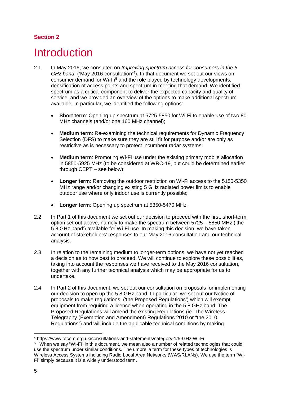## **Section 2**

# <span id="page-5-0"></span>**Introduction**

- 2.1 In May 2016, we consulted on *Improving spectrum access for consumers in the 5*  GHz band, ('May 2016 consultation'<sup>[4](#page-5-1)</sup>). In that document we set out our views on consumer demand for Wi-Fi<sup>[5](#page-5-2)</sup> and the role played by technology developments, densification of access points and spectrum in meeting that demand. We identified spectrum as a critical component to deliver the expected capacity and quality of service, and we provided an overview of the options to make additional spectrum available. In particular, we identified the following options:
	- **Short term**: Opening up spectrum at 5725-5850 for Wi-Fi to enable use of two 80 MHz channels (and/or one 160 MHz channel);
	- **Medium term**: Re-examining the technical requirements for Dynamic Frequency Selection (DFS) to make sure they are still fit for purpose and/or are only as restrictive as is necessary to protect incumbent radar systems;
	- **Medium term**: Promoting Wi-Fi use under the existing primary mobile allocation in 5850-5925 MHz (to be considered at WRC-19, but could be determined earlier through CEPT – see below);
	- **Longer term:** Removing the outdoor restriction on Wi-Fi access to the 5150-5350 MHz range and/or changing existing 5 GHz radiated power limits to enable outdoor use where only indoor use is currently possible;
	- **Longer term**: Opening up spectrum at 5350-5470 MHz.
- 2.2 In Part 1 of this document we set out our decision to proceed with the first, short-term option set out above, namely to make the spectrum between 5725 – 5850 MHz ('the 5.8 GHz band') available for Wi-Fi use. In making this decision, we have taken account of stakeholders' responses to our May 2016 consultation and our technical analysis.
- 2.3 In relation to the remaining medium to longer-term options, we have not yet reached a decision as to how best to proceed. We will continue to explore these possibilities, taking into account the responses we have received to the May 2016 consultation, together with any further technical analysis which may be appropriate for us to undertake.
- 2.4 In Part 2 of this document, we set out our consultation on proposals for implementing our decision to open up the 5.8 GHz band. In particular, we set out our Notice of proposals to make regulations ('the Proposed Regulations') which will exempt equipment from requiring a licence when operating in the 5.8 GHz band. The Proposed Regulations will amend the existing Regulations (ie. The Wireless Telegraphy (Exemption and Amendment) Regulations 2010 or "the 2010 Regulations") and will include the applicable technical conditions by making

<span id="page-5-1"></span> <sup>4</sup> https://www.ofcom.org.uk/consultations-and-statements/category-1/5-GHz-Wi-Fi

<span id="page-5-2"></span><sup>5</sup> When we say "Wi-Fi" in this document, we mean also a number of related technologies that could use the spectrum under similar conditions. The umbrella term for these types of technologies is Wireless Access Systems including Radio Local Area Networks (WAS/RLANs). We use the term "Wi-Fi" simply because it is a widely understood term.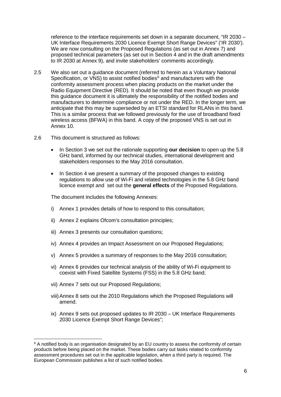reference to the interface requirements set down in a separate document, "IR 2030 – UK Interface Requirements 2030 Licence Exempt Short Range Devices" ('IR 2030'). We are now consulting on the Proposed Regulations (as set out in Annex 7) and proposed technical parameters (as set out in Section 4 and in the draft amendments to IR 2030 at Annex 9), and invite stakeholders' comments accordingly.

- 2.5 We also set out a guidance document (referred to herein as a Voluntary National Specification, or VNS) to assist notified bodies $6$  and manufacturers with the conformity assessment process when placing products on the market under the Radio Equipment Directive (RED). It should be noted that even though we provide this guidance document it is ultimately the responsibility of the notified bodies and manufacturers to determine compliance or not under the RED. In the longer term, we anticipate that this may be superseded by an ETSI standard for RLANs in this band. This is a similar process that we followed previously for the use of broadband fixed wireless access (BFWA) in this band. A copy of the proposed VNS is set out in Annex 10.
- 2.6 This document is structured as follows:
	- In Section 3 we set out the rationale supporting **our decision** to open up the 5.8 GHz band, informed by our technical studies, international development and stakeholders responses to the May 2016 consultation.
	- In Section 4 we present a summary of the proposed changes to existing regulations to allow use of Wi-Fi and related technologies in the 5.8 GHz band licence exempt and set out the **general effects** of the Proposed Regulations.

The document includes the following Annexes:

- i) Annex 1 provides details of how to respond to this consultation;
- ii) Annex 2 explains Ofcom's consultation principles;
- iii) Annex 3 presents our consultation questions:
- iv) Annex 4 provides an Impact Assessment on our Proposed Regulations;
- v) Annex 5 provides a summary of responses to the May 2016 consultation;
- vi) Annex 6 provides our technical analysis of the ability of Wi-Fi equipment to coexist with Fixed Satellite Systems (FSS) in the 5.8 GHz band;
- vii) Annex 7 sets out our Proposed Regulations;
- viii)Annex 8 sets out the 2010 Regulations which the Proposed Regulations will amend.
- ix) Annex 9 sets out proposed updates to IR 2030 UK Interface Requirements 2030 Licence Exempt Short Range Devices";

<span id="page-6-0"></span><sup>&</sup>lt;sup>6</sup> A notified body is an organisation designated by an EU country to assess the conformity of certain products before being placed on the market. These bodies carry out tasks related to conformity assessment procedures set out in the applicable legislation, when a third party is required. The European Commission publishes a list of such notified bodies.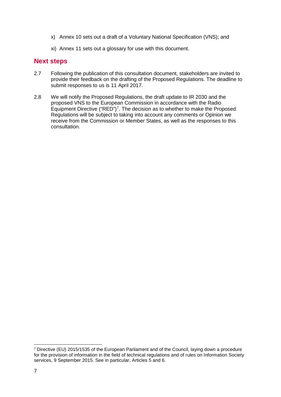- x) Annex 10 sets out a draft of a Voluntary National Specification (VNS); and
- xi) Annex 11 sets out a glossary for use with this document.

## **Next steps**

- 2.7 Following the publication of this consultation document, stakeholders are invited to provide their feedback on the drafting of the Proposed Regulations. The deadline to submit responses to us is 11 April 2017.
- 2.8 We will notify the Proposed Regulations, the draft update to IR 2030 and the proposed VNS to the European Commission in accordance with the Radio Equipment Directive ("RED")<sup>[7](#page-7-0)</sup>. The decision as to whether to make the Proposed Regulations will be subject to taking into account any comments or Opinion we receive from the Commission or Member States, as well as the responses to this consultation.

<span id="page-7-0"></span> <sup>7</sup> Directive (EU) 2015/1535 of the European Parliament and of the Council, laying down a procedure for the provision of information in the field of technical regulations and of rules on Information Society services, 9 September 2015. See in particular, Articles 5 and 6.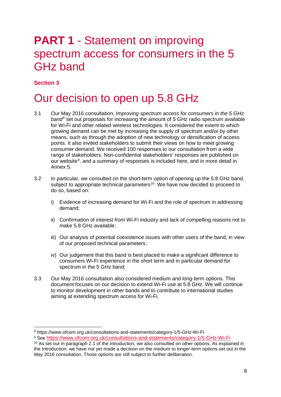# **PART 1 - Statement on improving** spectrum access for consumers in the 5 GHz band

## **Section 3**

# <span id="page-8-0"></span>Our decision to open up 5.8 GHz

- 3.1 Our May 2016 consultation, *Improving spectrum access for consumers in the 5 GHz band[8](#page-8-1)* set out proposals for increasing the amount of 5 GHz radio spectrum available for Wi-Fi and other related wireless technologies. It considered the extent to which growing demand can be met by increasing the supply of spectrum and/or by other means, such as through the adoption of new technology or densification of access points. It also invited stakeholders to submit their views on how to meet growing consumer demand. We received 100 responses to our consultation from a wide range of stakeholders. Non-confidential stakeholders' responses are published on our website<sup>[9](#page-8-2)</sup>, and a summary of responses is included here, and in more detail in Annex 5.
- 3.2 In particular, we consulted on the short-term option of opening up the 5.8 GHz band, subject to appropriate technical parameters<sup>[10](#page-8-3)</sup>. We have now decided to proceed to do so, based on:
	- i) Evidence of increasing demand for Wi-Fi and the role of spectrum in addressing demand;
	- ii) Confirmation of interest from Wi-Fi industry and lack of compelling reasons not to make 5.8 GHz available;
	- iii) Our analysis of potential coexistence issues with other users of the band, in view of our proposed technical parameters;
	- iv) Our judgement that this band is best placed to make a significant difference to consumers Wi-Fi experience in the short term and in particular demand for spectrum in the 5 GHz band;
- 3.3 Our May 2016 consultation also considered medium and long-term options. This document focuses on our decision to extend Wi-Fi use at 5.8 GHz. We will continue to monitor development in other bands and to contribute to international studies aiming at extending spectrum access for Wi-Fi.

<span id="page-8-2"></span><sup>9</sup> See<https://www.ofcom.org.uk/consultations-and-statements/category-1/5-GHz-Wi-Fi>

<span id="page-8-1"></span> <sup>8</sup> https://www.ofcom.org.uk/consultations-and-statements/category-1/5-GHz-Wi-Fi

<span id="page-8-3"></span><sup>10</sup> As set out in paragraph 2.1 of the introduction, we also consulted on other options, As explained in the Introduction, we have not yet made a decision on the medium to longer-term options set out in the May 2016 consultation. Those options are still subject to further deliberation.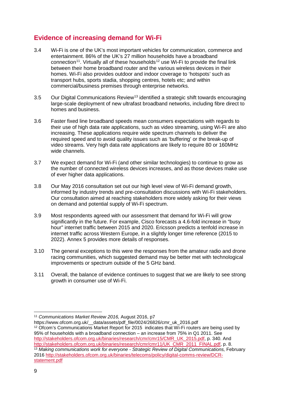# **Evidence of increasing demand for Wi-Fi**

- 3.4 Wi-Fi is one of the UK's most important vehicles for communication, commerce and entertainment. 86% of the UK's 27 million households have a broadband connection<sup>[11](#page-9-0)</sup>. Virtually all of these households<sup>[12](#page-9-1)</sup> use Wi-Fi to provide the final link between their home broadband router and the various wireless devices in their homes. Wi-Fi also provides outdoor and indoor coverage to 'hotspots' such as transport hubs, sports stadia, shopping centres, hotels etc; and within commercial/business premises through enterprise networks.
- 3.5 Our Digital Communications Review<sup>[13](#page-9-2)</sup> identified a strategic shift towards encouraging large-scale deployment of new ultrafast broadband networks, including fibre direct to homes and business.
- 3.6 Faster fixed line broadband speeds mean consumers expectations with regards to their use of high data rate applications, such as video streaming, using Wi-Fi are also increasing. These applications require wide spectrum channels to deliver the required speed and to avoid quality issues such as 'buffering' or the break-up of video streams. Very high data rate applications are likely to require 80 or 160MHz wide channels.
- 3.7 We expect demand for Wi-Fi (and other similar technologies) to continue to grow as the number of connected wireless devices increases, and as those devices make use of ever higher data applications.
- 3.8 Our May 2016 consultation set out our high level view of Wi-Fi demand growth, informed by industry trends and pre-consultation discussions with Wi-Fi stakeholders. Our consultation aimed at reaching stakeholders more widely asking for their views on demand and potential supply of Wi-Fi spectrum.
- 3.9 Most respondents agreed with our assessment that demand for Wi-Fi will grow significantly in the future. For example, Cisco forecasts a 4.6-fold increase in "busy hour" internet traffic between 2015 and 2020. Ericsson predicts a tenfold increase in internet traffic across Western Europe, in a slightly longer time reference (2015 to 2022). Annex 5 provides more details of responses.
- 3.10 The general exceptions to this were the responses from the amateur radio and drone racing communities, which suggested demand may be better met with technological improvements or spectrum outside of the 5 GHz band.
- 3.11 Overall, the balance of evidence continues to suggest that we are likely to see strong growth in consumer use of Wi-Fi.

<span id="page-9-0"></span> <sup>11</sup> *Communications Market Review 2016,* August 2016, p7

<span id="page-9-2"></span><span id="page-9-1"></span>https://www.ofcom.org.uk/\_\_data/assets/pdf\_file/0024/26826/cmr\_uk\_2016.pdf <sup>12</sup> Ofcom's Communications Market Report for 2015 indicates that Wi-Fi routers are being used by 95% of households with a broadband connection – an increase from 75% in Q1 2011. See [http://stakeholders.ofcom.org.uk/binaries/research/cmr/cmr15/CMR\\_UK\\_2015.pdf,](http://stakeholders.ofcom.org.uk/binaries/research/cmr/cmr15/CMR_UK_2015.pdf) p. 340. And [http://stakeholders.ofcom.org.uk/binaries/research/cmr/cmr11/UK\\_CMR\\_2011\\_FINAL.pdf,](http://stakeholders.ofcom.org.uk/binaries/research/cmr/cmr11/UK_CMR_2011_FINAL.pdf) p. 8. <sup>13</sup> *Making communications work for everyone - Strategic Review of Digital Communications,* February 2016 [http://stakeholders.ofcom.org.uk/binaries/telecoms/policy/digital-comms-review/DCR](http://stakeholders.ofcom.org.uk/binaries/telecoms/policy/digital-comms-review/DCR-statement.pdf)[statement.pdf](http://stakeholders.ofcom.org.uk/binaries/telecoms/policy/digital-comms-review/DCR-statement.pdf)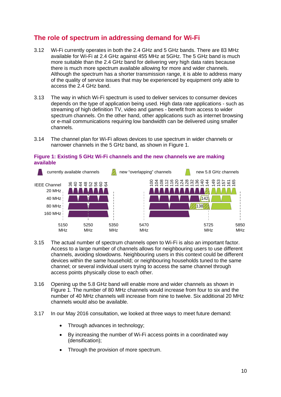# **The role of spectrum in addressing demand for Wi-Fi**

- 3.12 Wi-Fi currently operates in both the 2.4 GHz and 5 GHz bands. There are 83 MHz available for Wi-Fi at 2.4 GHz against 455 MHz at 5GHz. The 5 GHz band is much more suitable than the 2.4 GHz band for delivering very high data rates because there is much more spectrum available allowing for more and wider channels. Although the spectrum has a shorter transmission range, it is able to address many of the quality of service issues that may be experienced by equipment only able to access the 2.4 GHz band.
- 3.13 The way in which Wi-Fi spectrum is used to deliver services to consumer devices depends on the type of application being used. High data rate applications - such as streaming of high definition TV, video and games - benefit from access to wider spectrum channels. On the other hand, other applications such as internet browsing or e-mail communications requiring low bandwidth can be delivered using smaller channels.
- 3.14 The channel plan for Wi-Fi allows devices to use spectrum in wider channels or narrower channels in the 5 GHz band, as shown in Figure 1.



#### **Figure 1: Existing 5 GHz Wi-Fi channels and the new channels we are making available**

- 3.15 The actual number of spectrum channels open to Wi-Fi is also an important factor. Access to a large number of channels allows for neighbouring users to use different channels, avoiding slowdowns. Neighbouring users in this context could be different devices within the same household; or neighbouring households tuned to the same channel; or several individual users trying to access the same channel through access points physically close to each other.
- 3.16 Opening up the 5.8 GHz band will enable more and wider channels as shown in Figure 1. The number of 80 MHz channels would increase from four to six and the number of 40 MHz channels will increase from nine to twelve. Six additional 20 MHz channels would also be available.
- 3.17 In our May 2016 consultation, we looked at three ways to meet future demand:
	- Through advances in technology;
	- By increasing the number of Wi-Fi access points in a coordinated way (densification);
	-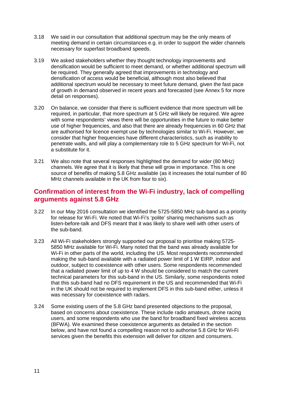- 3.18 We said in our consultation that additional spectrum may be the only means of meeting demand in certain circumstances e.g. in order to support the wider channels necessary for superfast broadband speeds.
- 3.19 We asked stakeholders whether they thought technology improvements and densification would be sufficient to meet demand, or whether additional spectrum will be required. They generally agreed that improvements in technology and densification of access would be beneficial, although most also believed that additional spectrum would be necessary to meet future demand, given the fast pace of growth in demand observed in recent years and forecasted (see Annex 5 for more detail on responses).
- 3.20 On balance, we consider that there is sufficient evidence that more spectrum will be required, in particular, that more spectrum at 5 GHz will likely be required. We agree with some respondents' views there will be opportunities in the future to make better use of higher frequencies, and also that there are already frequencies in 60 GHz that are authorised for licence exempt use by technologies similar to Wi-Fi. However, we consider that higher frequencies have different characteristics, such as inability to penetrate walls, and will play a complementary role to 5 GHz spectrum for Wi-Fi, not a substitute for it.
- 3.21 We also note that several responses highlighted the demand for wider (80 MHz) channels. We agree that it is likely that these will grow in importance. This is one source of benefits of making 5.8 GHz available (as it increases the total number of 80 MHz channels available in the UK from four to six).

## **Confirmation of interest from the Wi-Fi industry, lack of compelling arguments against 5.8 GHz**

- 3.22 In our May 2016 consultation we identified the 5725-5850 MHz sub-band as a priority for release for Wi-Fi. We noted that Wi-Fi's 'polite' sharing mechanisms such as listen-before-talk and DFS meant that it was likely to share well with other users of the sub-band.
- 3.23 All Wi-Fi stakeholders strongly supported our proposal to prioritise making 5725- 5850 MHz available for Wi-Fi. Many noted that the band was already available for Wi-Fi in other parts of the world, including the US. Most respondents recommended making the sub-band available with a radiated power limit of 1 W EIRP, indoor and outdoor, subject to coexistence with other users. Some respondents recommended that a radiated power limit of up to 4 W should be considered to match the current technical parameters for this sub-band in the US. Similarly, some respondents noted that this sub-band had no DFS requirement in the US and recommended that Wi-Fi in the UK should not be required to implement DFS in this sub-band either, unless it was necessary for coexistence with radars.
- 3.24 Some existing users of the 5.8 GHz band presented objections to the proposal, based on concerns about coexistence. These include radio amateurs, drone racing users, and some respondents who use the band for broadband fixed wireless access (BFWA). We examined these coexistence arguments as detailed in the section below, and have not found a compelling reason not to authorise 5.8 GHz for Wi-Fi services given the benefits this extension will deliver for citizen and consumers.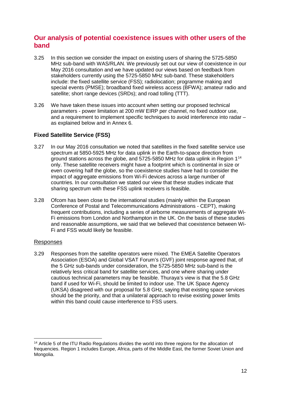## **Our analysis of potential coexistence issues with other users of the band**

- 3.25 In this section we consider the impact on existing users of sharing the 5725-5850 MHz sub-band with WAS/RLAN. We previously set out our view of coexistence in our May 2016 consultation and we have updated our views based on feedback from stakeholders currently using the 5725-5850 MHz sub-band. These stakeholders include: the fixed satellite service (FSS); radiolocation; programme making and special events (PMSE); broadband fixed wireless access (BFWA); amateur radio and satellite; short range devices (SRDs); and road tolling (TTT).
- 3.26 We have taken these issues into account when setting our proposed technical parameters - power limitation at 200 mW EIRP per channel, no fixed outdoor use, and a requirement to implement specific techniques to avoid interference into radar – as explained below and in Annex 6.

### **Fixed Satellite Service (FSS)**

- 3.27 In our May 2016 consultation we noted that satellites in the fixed satellite service use spectrum at 5850-5925 MHz for data uplink in the Earth-to-space direction from ground stations across the globe, and 5725-5850 MHz for data uplink in Region 1[14](#page-12-0) only. These satellite receivers might have a footprint which is continental in size or even covering half the globe, so the coexistence studies have had to consider the impact of aggregate emissions from Wi-Fi devices across a large number of countries. In our consultation we stated our view that these studies indicate that sharing spectrum with these FSS uplink receivers is feasible.
- 3.28 Ofcom has been close to the international studies (mainly within the European Conference of Postal and Telecommunications Administrations - CEPT), making frequent contributions, including a series of airborne measurements of aggregate Wi-Fi emissions from London and Northampton in the UK. On the basis of these studies and reasonable assumptions, we said that we believed that coexistence between Wi-Fi and FSS would likely be feasible.

### Responses

3.29 Responses from the satellite operators were mixed. The EMEA Satellite Operators Association (ESOA) and Global VSAT Forum's (GVF) joint response agreed that, of the 5 GHz sub-bands under consideration, the 5725-5850 MHz sub-band is the relatively less critical band for satellite services, and one where sharing under cautious technical parameters may be feasible. Thuraya's view is that the 5.8 GHz band if used for Wi-Fi, should be limited to indoor use. The UK Space Agency (UKSA) disagreed with our proposal for 5.8 GHz, saying that existing space services should be the priority, and that a unilateral approach to revise existing power limits within this band could cause interference to FSS users.

<span id="page-12-0"></span><sup>&</sup>lt;sup>14</sup> Article 5 of the ITU Radio Regulations divides the world into three regions for the allocation of frequencies. Region 1 includes Europe, Africa, parts of the Middle East, the former Soviet Union and Mongolia.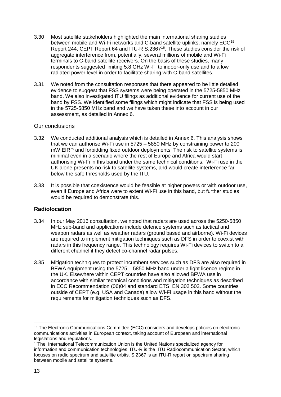- 3.30 Most satellite stakeholders highlighted the main international sharing studies between mobile and Wi-Fi networks and C-band satellite uplinks, namely ECC<sup>[15](#page-13-0)</sup> Report 244, CEPT Report 64 and ITU-R S.2367<sup>[16](#page-13-1)</sup>. These studies consider the risk of aggregate interference from, potentially, several millions of mobile and Wi-Fi terminals to C-band satellite receivers. On the basis of these studies, many respondents suggested limiting 5.8 GHz Wi-Fi to indoor-only use and to a low radiated power level in order to facilitate sharing with C-band satellites.
- 3.31 We noted from the consultation responses that there appeared to be little detailed evidence to suggest that FSS systems were being operated in the 5725-5850 MHz band. We also investigated ITU filings as additional evidence for current use of the band by FSS. We identified some filings which might indicate that FSS is being used in the 5725-5850 MHz band and we have taken these into account in our assessment, as detailed in Annex 6.

#### Our conclusions

- 3.32 We conducted additional analysis which is detailed in Annex 6. This analysis shows that we can authorise Wi-Fi use in 5725 – 5850 MHz by constraining power to 200 mW EIRP and forbidding fixed outdoor deployments. The risk to satellite systems is minimal even in a scenario where the rest of Europe and Africa would start authorising Wi-Fi in this band under the same technical conditions. Wi-Fi use in the UK alone presents no risk to satellite systems, and would create interference far below the safe thresholds used by the ITU.
- 3.33 It is possible that coexistence would be feasible at higher powers or with outdoor use, even if Europe and Africa were to extent Wi-Fi use in this band, but further studies would be required to demonstrate this.

### **Radiolocation**

- 3.34 In our May 2016 consultation, we noted that radars are used across the 5250-5850 MHz sub-band and applications include defence systems such as tactical and weapon radars as well as weather radars (ground based and airborne). Wi-Fi devices are required to implement mitigation techniques such as DFS in order to coexist with radars in this frequency range. This technology requires Wi-Fi devices to switch to a different channel if they detect co-channel radar pulses.
- 3.35 Mitigation techniques to protect incumbent services such as DFS are also required in BFWA equipment using the 5725 – 5850 MHz band under a light licence regime in the UK. Elsewhere within CEPT countries have also allowed BFWA use in accordance with similar technical conditions and mitigation techniques as described in ECC Recommendation (06)04 and standard ETSI EN 302 502. Some countries outside of CEPT (e.g. USA and Canada) allow Wi-Fi usage in this band without the requirements for mitigation techniques such as DFS.

<span id="page-13-0"></span> <sup>15</sup> The Electronic Communications Committee (ECC) considers and develops policies on electronic communications activities in European context, taking account of European and international legislations and regulations.

<span id="page-13-1"></span><sup>&</sup>lt;sup>16</sup>The International Telecommunication Union is the United Nations specialized agency for information and communication technologies. ITU-R is the ITU Radiocommunication Sector, which focuses on radio spectrum and satellite orbits. S.2367 is an ITU-R report on spectrum sharing between mobile and satellite systems.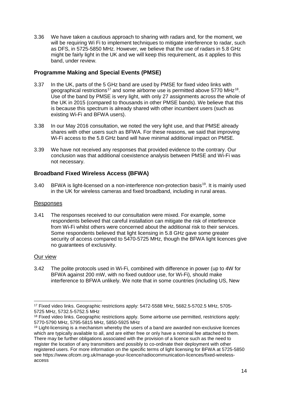3.36 We have taken a cautious approach to sharing with radars and, for the moment, we will be requiring Wi Fi to implement techniques to mitigate interference to radar, such as DFS, in 5725-5850 MHz. However, we believe that the use of radars in 5.8 GHz might be fairly light in the UK and we will keep this requirement, as it applies to this band, under review.

### **Programme Making and Special Events (PMSE)**

- 3.37 In the UK, parts of the 5 GHz band are used by PMSE for fixed video links with geographical restrictions<sup>[17](#page-14-0)</sup> and some airborne use is permitted above 5770 MHz<sup>[18](#page-14-1)</sup>. Use of the band by PMSE is very light, with only 27 assignments across the whole of the UK in 2015 (compared to thousands in other PMSE bands). We believe that this is because this spectrum is already shared with other incumbent users (such as existing Wi-Fi and BFWA users).
- 3.38 In our May 2016 consultation, we noted the very light use, and that PMSE already shares with other users such as BFWA. For these reasons, we said that improving Wi-Fi access to the 5.8 GHz band will have minimal additional impact on PMSE.
- 3.39 We have not received any responses that provided evidence to the contrary. Our conclusion was that additional coexistence analysis between PMSE and Wi-Fi was not necessary.

### **Broadband Fixed Wireless Access (BFWA)**

3.40 BFWA is light-licensed on a non-interference non-protection basis<sup>19</sup>. It is mainly used in the UK for wireless cameras and fixed broadband, including in rural areas.

### Responses

3.41 The responses received to our consultation were mixed. For example, some respondents believed that careful installation can mitigate the risk of interference from Wi-Fi whilst others were concerned about the additional risk to their services. Some respondents believed that light licensing in 5.8 GHz gave some greater security of access compared to 5470-5725 MHz, though the BFWA light licences give no guarantees of exclusivity.

#### Our view

3.42 The polite protocols used in Wi-Fi, combined with difference in power (up to 4W for BFWA against 200 mW, with no fixed outdoor use, for Wi-Fi), should make interference to BFWA unlikely. We note that in some countries (including US, New

<span id="page-14-0"></span> <sup>17</sup> Fixed video links. Geographic restrictions apply: 5472-5588 MHz, 5682.5-5702.5 MHz, 5705- 5725 MHz, 5732.5-5752.5 MHz

<span id="page-14-1"></span><sup>&</sup>lt;sup>18</sup> Fixed video links. Geographic restrictions apply. Some airborne use permitted, restrictions apply: 5770-5790 MHz, 5795-5815 MHz, 5850-5925 MHz

<span id="page-14-2"></span> $19$  Light-licensing is a mechanism whereby the users of a band are awarded non-exclusive licences which are typically available to all, and are either free or only have a nominal fee attached to them. There may be further obligations associated with the provision of a licence such as the need to register the location of any transmitters and possibly to co-ordinate their deployment with other registered users. For more information on the specific terms of light licensing for BFWA at 5725-5850 see https://www.ofcom.org.uk/manage-your-licence/radiocommunication-licences/fixed-wirelessaccess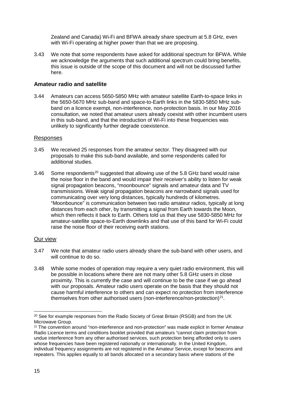Zealand and Canada) Wi-Fi and BFWA already share spectrum at 5.8 GHz, even with Wi-Fi operating at higher power than that we are proposing.

3.43 We note that some respondents have asked for additional spectrum for BFWA. While we acknowledge the arguments that such additional spectrum could bring benefits, this issue is outside of the scope of this document and will not be discussed further here.

#### **Amateur radio and satellite**

3.44 Amateurs can access 5650-5850 MHz with amateur satellite Earth-to-space links in the 5650-5670 MHz sub-band and space-to-Earth links in the 5830-5850 MHz subband on a licence exempt, non-interference, non-protection basis. In our May 2016 consultation, we noted that amateur users already coexist with other incumbent users in this sub-band, and that the introduction of Wi-Fi into these frequencies was unlikely to significantly further degrade coexistence.

#### Responses

- 3.45 We received 25 responses from the amateur sector. They disagreed with our proposals to make this sub-band available, and some respondents called for additional studies.
- 3.46 Some respondents<sup>[20](#page-15-0)</sup> suggested that allowing use of the 5.8 GHz band would raise the noise floor in the band and would impair their receiver's ability to listen for weak signal propagation beacons, "moonbounce" signals and amateur data and TV transmissions. Weak signal propagation beacons are narrowband signals used for communicating over very long distances, typically hundreds of kilometres. "Moonbounce" is communication between two radio amateur radios, typically at long distances from each other, by transmitting a signal from Earth towards the Moon, which then reflects it back to Earth. Others told us that they use 5830-5850 MHz for amateur-satellite space-to-Earth downlinks and that use of this band for Wi-Fi could raise the noise floor of their receiving earth stations.

#### Our view

- 3.47 We note that amateur radio users already share the sub-band with other users, and will continue to do so.
- 3.48 While some modes of operation may require a very quiet radio environment, this will be possible in locations where there are not many other 5.8 GHz users in close proximity. This is currently the case and will continue to be the case if we go ahead with our proposals. Amateur radio users operate on the basis that they should not cause harmful interference to others and can expect no protection from interference themselves from other authorised users (non-interference/non-protection) $^{21}$  $^{21}$  $^{21}$ .

<span id="page-15-0"></span><sup>&</sup>lt;sup>20</sup> See for example responses from the Radio Society of Great Britain (RSGB) and from the UK Microwave Group.

<span id="page-15-1"></span><sup>&</sup>lt;sup>21</sup> The convention around "non-interference and non-protection" was made explicit in former Amateur Radio Licence terms and conditions booklet provided that amateurs "cannot claim protection from undue interference from any other authorised services, such protection being afforded only to users whose frequencies have been registered nationally or internationally. In the United Kingdom, individual frequency assignments are not registered in the Amateur Service, except for beacons and repeaters. This applies equally to all bands allocated on a secondary basis where stations of the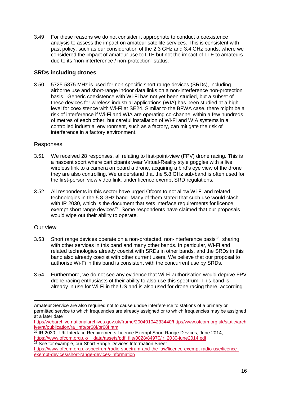3.49 For these reasons we do not consider it appropriate to conduct a coexistence analysis to assess the impact on amateur satellite services. This is consistent with past policy, such as our consideration of the 2.3 GHz and 3.4 GHz bands, where we considered the impact of amateur use to LTE but not the impact of LTE to amateurs due to its "non-interference / non-protection" status.

### **SRDs including drones**

3.50 5725-5875 MHz is used for non-specific short range devices (SRDs), including airborne use and short-range indoor data links on a non-interference non-protection basis. Generic coexistence with Wi-Fi has not yet been studied, but a subset of these devices for wireless industrial applications (WIA) has been studied at a high level for coexistence with Wi-Fi at SE24. Similar to the BFWA case, there might be a risk of interference if Wi-Fi and WIA are operating co-channel within a few hundreds of metres of each other, but careful installation of Wi-Fi and WIA systems in a controlled industrial environment, such as a factory, can mitigate the risk of interference in a factory environment.

### Responses

- 3.51 We received 28 responses, all relating to first-point-view (FPV) drone racing. This is a nascent sport where participants wear Virtual-Reality style goggles with a live wireless link to a camera on board a drone, acquiring a bird's eye view of the drone they are also controlling. We understand that the 5.8 GHz sub-band is often used for the first-person view video link, under licence exempt SRD regulations.
- 3.52 All respondents in this sector have urged Ofcom to not allow Wi-Fi and related technologies in the 5.8 GHz band. Many of them stated that such use would clash with IR 2030, which is the document that sets interface requirements for licence exempt short range devices<sup>[22](#page-16-0)</sup>. Some respondents have claimed that our proposals would wipe out their ability to operate.

### Our view

- 3.53 Short range devices operate on a non-protected, non-interference basis $23$ , sharing with other services in this band and many other bands. In particular, Wi-Fi and related technologies already coexist with SRDs in other bands, and the SRDs in this band also already coexist with other current users. We believe that our proposal to authorise Wi-Fi in this band is consistent with the concurrent use by SRDs.
- 3.54 Furthermore, we do not see any evidence that Wi-Fi authorisation would deprive FPV drone racing enthusiasts of their ability to also use this spectrum. This band is already in use for Wi-Fi in the US and is also used for drone racing there, according

<sup>-</sup>Amateur Service are also required not to cause undue interference to stations of a primary or permitted service to which frequencies are already assigned or to which frequencies may be assigned at a later date"

[http://webarchive.nationalarchives.gov.uk/frame/20040104233440/http://www.ofcom.org.uk/static/arch](http://webarchive.nationalarchives.gov.uk/frame/20040104233440/http:/www.ofcom.org.uk/static/archive/ra/publication/ra_info/br68f/br68f.htm) [ive/ra/publication/ra\\_info/br68f/br68f.htm](http://webarchive.nationalarchives.gov.uk/frame/20040104233440/http:/www.ofcom.org.uk/static/archive/ra/publication/ra_info/br68f/br68f.htm)

<span id="page-16-0"></span> $22$  IR 2030 - UK Interface Requirements Licence Exempt Short Range Devices, June 2014, https://www.ofcom.org.uk/ data/assets/pdf\_file/0028/84970/ir\_2030-june2014.pdf

<span id="page-16-1"></span><sup>&</sup>lt;sup>23</sup> See for example, our Short Range Devices Information Sheet

[https://www.ofcom.org.uk/spectrum/radio-spectrum-and-the-law/licence-exempt-radio-use/licence](https://www.ofcom.org.uk/spectrum/radio-spectrum-and-the-law/licence-exempt-radio-use/licence-exempt-devices/short-range-devices-information)[exempt-devices/short-range-devices-information](https://www.ofcom.org.uk/spectrum/radio-spectrum-and-the-law/licence-exempt-radio-use/licence-exempt-devices/short-range-devices-information)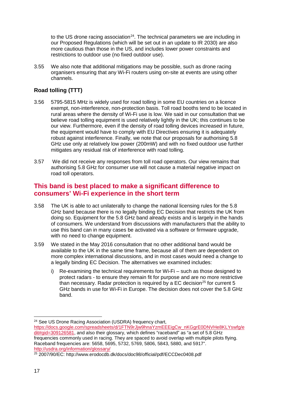to the US drone racing association<sup>[24](#page-17-0)</sup>. The technical parameters we are including in our Proposed Regulations (which will be set out in an update to IR 2030) are also more cautious than those in the US, and includes lower power constraints and restrictions to outdoor use (no fixed outdoor use).

3.55 We also note that additional mitigations may be possible, such as drone racing organisers ensuring that any Wi-Fi routers using on-site at events are using other channels.

## **Road tolling (TTT)**

- 3.56 5795-5815 MHz is widely used for road tolling in some EU countries on a licence exempt, non-interference, non-protection basis. Toll road booths tend to be located in rural areas where the density of Wi-Fi use is low. We said in our consultation that we believe road tolling equipment is used relatively lightly in the UK; this continues to be our view. Furthermore, even if the density of road tolling devices increased in future, the equipment would have to comply with EU Directives ensuring it is adequately robust against interference. Finally, we note that our proposals for authorising 5.8 GHz use only at relatively low power (200mW) and with no fixed outdoor use further mitigates any residual risk of interference with road tolling.
- 3.57 We did not receive any responses from toll road operators. Our view remains that authorising 5.8 GHz for consumer use will not cause a material negative impact on road toll operators.

## **This band is best placed to make a significant difference to consumers' Wi-Fi experience in the short term**

- 3.58 The UK is able to act unilaterally to change the national licensing rules for the 5.8 GHz band because there is no legally binding EC Decision that restricts the UK from doing so. Equipment for the 5.8 GHz band already exists and is largely in the hands of consumers. We understand from discussions with manufacturers that the ability to use this band can in many cases be activated via a software or firmware upgrade, with no need to change equipment.
- 3.59 We stated in the May 2016 consultation that no other additional band would be available to the UK in the same time frame, because all of them are dependent on more complex international discussions, and in most cases would need a change to a legally binding EC Decision. The alternatives we examined includes:
	- i) Re-examining the technical requirements for  $W_i-F_i$  such as those designed to protect radars - to ensure they remain fit for purpose and are no more restrictive than necessary. Radar protection is required by a EC decision<sup>[25](#page-17-1)</sup> for current 5 GHz bands in use for Wi-Fi in Europe. The decision does not cover the 5.8 GHz band.

<span id="page-17-0"></span> <sup>24</sup> See US Drone Racing Association (USDRA) frequency chart, [https://docs.google.com/spreadsheets/d/1FTN9rJjw9hnaYzmEEEigCw\\_nKGgrE0DNVHe8KLYswfg/e](https://docs.google.com/spreadsheets/d/1FTN9rJjw9hnaYzmEEEigCw_nKGgrE0DNVHe8KLYswfg/edit%23gid=309126581) [dit#gid=309126581,](https://docs.google.com/spreadsheets/d/1FTN9rJjw9hnaYzmEEEigCw_nKGgrE0DNVHe8KLYswfg/edit%23gid=309126581) and also their glossary, which defines "raceband" as "a set of 5.8 GHz frequencies commonly used in racing. They are spaced to avoid overlap with multiple pilots flying. Raceband frequencies are: 5658, 5695, 5732, 5769, 5806, 5843, 5880, and 5917". <http://usdra.org/information/glossary/>

<span id="page-17-1"></span><sup>25</sup> 2007/90/EC: http://www.erodocdb.dk/docs/doc98/official/pdf/ECCDec0408.pdf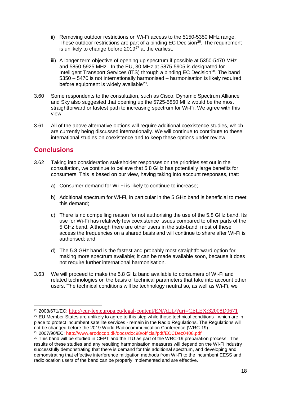- ii) Removing outdoor restrictions on Wi-Fi access to the 5150-5350 MHz range. These outdoor restrictions are part of a binding EC Decision<sup>26</sup>. The requirement is unlikely to change before  $2019^{27}$  $2019^{27}$  $2019^{27}$  at the earliest.
- iii) A longer term objective of opening up spectrum if possible at 5350-5470 MHz and 5850-5925 MHz. In the EU, 30 MHz at 5875-5905 is designated for Intelligent Transport Services (ITS) through a binding EC Decision<sup>28</sup>. The band 5350 – 5470 is not internationally harmonised – harmonisation is likely required before equipment is widely available<sup>29</sup>.
- 3.60 Some respondents to the consultation, such as Cisco, Dynamic Spectrum Alliance and Sky also suggested that opening up the 5725-5850 MHz would be the most straightforward or fastest path to increasing spectrum for Wi-Fi. We agree with this view.
- 3.61 All of the above alternative options will require additional coexistence studies, which are currently being discussed internationally. We will continue to contribute to these international studies on coexistence and to keep these options under review.

## **Conclusions**

- 3.62 Taking into consideration stakeholder responses on the priorities set out in the consultation, we continue to believe that 5.8 GHz has potentially large benefits for consumers. This is based on our view, having taking into account responses, that:
	- a) Consumer demand for Wi-Fi is likely to continue to increase;
	- b) Additional spectrum for Wi-Fi, in particular in the 5 GHz band is beneficial to meet this demand;
	- c) There is no compelling reason for not authorising the use of the 5.8 GHz band. Its use for Wi-Fi has relatively few coexistence issues compared to other parts of the 5 GHz band. Although there are other users in the sub-band, most of these access the frequencies on a shared basis and will continue to share after Wi-Fi is authorised; and
	- d) The 5.8 GHz band is the fastest and probably most straightforward option for making more spectrum available; it can be made available soon, because it does not require further international harmonisation.
- 3.63 We will proceed to make the 5.8 GHz band available to consumers of Wi-Fi and related technologies on the basis of technical parameters that take into account other users. The technical conditions will be technology neutral so, as well as Wi-Fi, we

<span id="page-18-0"></span><sup>&</sup>lt;sup>26</sup> 2008/671/EC: <http://eur-lex.europa.eu/legal-content/EN/ALL/?uri=CELEX:32008D0671><br><sup>27</sup> EU Member States are unlikely to agree to this step while those technical conditions - which are in

<span id="page-18-1"></span>place to protect incumbent satellite services - remain in the Radio Regulations. The Regulations will not be changed before the 2019 World Radiocommunication Conference (WRC-19). <sup>28</sup> 2007/90/EC: http://www.erodocdb.dk/docs/doc98/official/pdf/ECCDec0408.pdf

<span id="page-18-3"></span><span id="page-18-2"></span> $29$  This band will be studied in CEPT and the ITU as part of the WRC-19 preparation process. The results of these studies and any resulting harmonisation measures will depend on the Wi-Fi industry successfully demonstrating that there is demand for this additional spectrum, and developing and demonstrating that effective interference mitigation methods from Wi-Fi to the incumbent EESS and radiolocation users of the band can be properly implemented and are effective.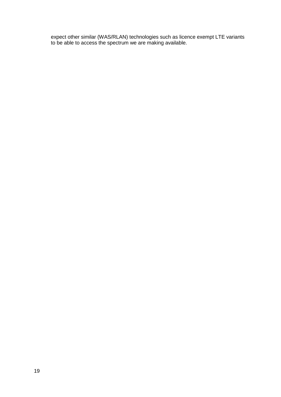expect other similar (WAS/RLAN) technologies such as licence exempt LTE variants to be able to access the spectrum we are making available.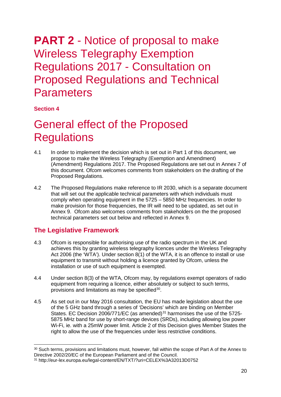# **PART 2** - Notice of proposal to make Wireless Telegraphy Exemption Regulations 2017 - Consultation on Proposed Regulations and Technical **Parameters**

### **Section 4**

# <span id="page-20-0"></span>General effect of the Proposed **Regulations**

- 4.1 In order to implement the decision which is set out in Part 1 of this document, we propose to make the Wireless Telegraphy (Exemption and Amendment) (Amendment) Regulations 2017. The Proposed Regulations are set out in Annex 7 of this document. Ofcom welcomes comments from stakeholders on the drafting of the Proposed Regulations.
- 4.2 The Proposed Regulations make reference to IR 2030, which is a separate document that will set out the applicable technical parameters with which individuals must comply when operating equipment in the 5725 – 5850 MHz frequencies. In order to make provision for those frequencies, the IR will need to be updated, as set out in Annex 9. Ofcom also welcomes comments from stakeholders on the the proposed technical parameters set out below and reflected in Annex 9.

## **The Legislative Framework**

- 4.3 Ofcom is responsible for authorising use of the radio spectrum in the UK and achieves this by granting wireless telegraphy licences under the Wireless Telegraphy Act 2006 (the 'WTA'). Under section 8(1) of the WTA, it is an offence to install or use equipment to transmit without holding a licence granted by Ofcom, unless the installation or use of such equipment is exempted.
- 4.4 Under section 8(3) of the WTA, Ofcom may, by regulations exempt operators of radio equipment from requiring a licence, either absolutely or subject to such terms, provisions and limitations as may be specified<sup>[30](#page-20-1)</sup>.
- 4.5 As set out in our May 2016 consultation, the EU has made legislation about the use of the 5 GHz band through a series of 'Decisions' which are binding on Member States. EC Decision 2006/771/EC (as amended) $31$  harmonises the use of the 5725-5875 MHz band for use by short-range devices (SRDs), including allowing low power Wi-Fi, ie. with a 25mW power limit. Article 2 of this Decision gives Member States the right to allow the use of the frequencies under less restrictive conditions.

<span id="page-20-1"></span><sup>&</sup>lt;sup>30</sup> Such terms, provisions and limitations must, however, fall within the scope of Part A of the Annex to Directive 2002/20/EC of the European Parliament and of the Council.

<span id="page-20-2"></span><sup>31</sup> http://eur-lex.europa.eu/legal-content/EN/TXT/?uri=CELEX%3A32013D0752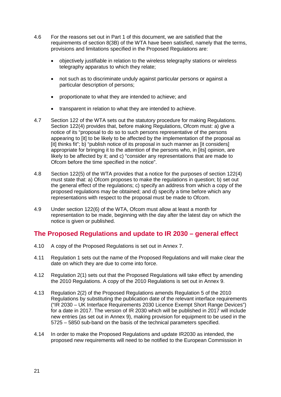- 4.6 For the reasons set out in Part 1 of this document, we are satisfied that the requirements of section 8(3B) of the WTA have been satisfied, namely that the terms, provisions and limitations specified in the Proposed Regulations are:
	- objectively justifiable in relation to the wireless telegraphy stations or wireless telegraphy apparatus to which they relate;
	- not such as to discriminate unduly against particular persons or against a particular description of persons;
	- proportionate to what they are intended to achieve; and
	- transparent in relation to what they are intended to achieve.
- 4.7 Section 122 of the WTA sets out the statutory procedure for making Regulations. Section 122(4) provides that, before making Regulations, Ofcom must: a) give a notice of its "proposal to do so to such persons representative of the persons appearing to [it] to be likely to be affected by the implementation of the proposal as [it] thinks fit"; b) "publish notice of its proposal in such manner as [it considers] appropriate for bringing it to the attention of the persons who, in [its] opinion, are likely to be affected by it; and c) "consider any representations that are made to Ofcom before the time specified in the notice".
- 4.8 Section 122(5) of the WTA provides that a notice for the purposes of section 122(4) must state that: a) Ofcom proposes to make the regulations in question; b) set out the general effect of the regulations; c) specify an address from which a copy of the proposed regulations may be obtained; and d) specify a time before which any representations with respect to the proposal must be made to Ofcom.
- 4.9 Under section 122(6) of the WTA, Ofcom must allow at least a month for representation to be made, beginning with the day after the latest day on which the notice is given or published.

## **The Proposed Regulations and update to IR 2030 – general effect**

- 4.10 A copy of the Proposed Regulations is set out in Annex 7.
- 4.11 Regulation 1 sets out the name of the Proposed Regulations and will make clear the date on which they are due to come into force.
- 4.12 Regulation 2(1) sets out that the Proposed Regulations will take effect by amending the 2010 Regulations. A copy of the 2010 Regulations is set out in Annex 9.
- 4.13 Regulation 2(2) of the Proposed Regulations amends Regulation 5 of the 2010 Regulations by substituting the publication date of the relevant interface requirements ("IR 2030 – UK Interface Requirements 2030 Licence Exempt Short Range Devices") for a date in 2017. The version of IR 2030 which will be published in 2017 will include new entries (as set out in Annex 9), making provision for equipment to be used in the 5725 – 5850 sub-band on the basis of the technical parameters specified.
- 4.14 In order to make the Proposed Regulations and update IR2030 as intended, the proposed new requirements will need to be notified to the European Commission in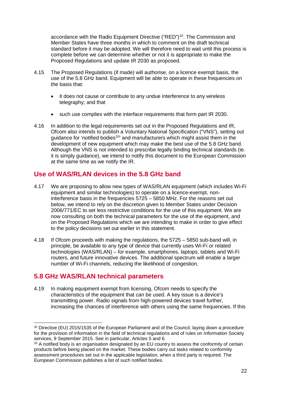accordance with the Radio Equipment Directive ("RED")<sup>[32](#page-22-0)</sup>. The Commission and Member States have three months in which to comment on the draft technical standard before it may be adopted. We will therefore need to wait until this process is complete before we can determine whether or not it is appropriate to make the Proposed Regulations and update IR 2030 as proposed.

- 4.15 The Proposed Regulations (if made) will authorise, on a licence exempt basis, the use of the 5.8 GHz band. Equipment will be able to operate in these frequencies on the basis that:
	- it does not cause or contribute to any undue interference to any wireless telegraphy; and that
	- such use complies with the interface requirements that form part IR 2030.
- 4.16 In addition to the legal requirements set out in the Proposed Regulations and IR, Ofcom also intends to publish a Voluntary National Specification ("VNS"), setting out guidance for 'notified bodies<sup>[33](#page-22-1)</sup>' and manufacturers which might assist them in the development of new equipment which may make the best use of the 5.8 GHz band. Although the VNS is not intended to prescribe legally binding technical standards (ie. it is simply guidance), we intend to notify this document to the European Commission at the same time as we notify the IR.

# **Use of WAS/RLAN devices in the 5.8 GHz band**

- 4.17 We are proposing to allow new types of WAS/RLAN equipment (which includes Wi-Fi equipment and similar technologies) to operate on a licence-exempt, noninterference basis in the frequencies 5725 – 5850 MHz. For the reasons set out below, we intend to rely on the discretion given to Member States under Decision 2006/771/EC to set less restrictive conditions for the use of this equipment. We are now consulting on both the technical parameters for the use of the equipment, and on the Proposed Regulations which we are intending to make in order to give effect to the policy decisions set out earlier in this statement.
- 4.18 If Ofcom proceeds with making the regulations, the 5725 5850 sub-band will, in principle, be available to any type of device that currently uses Wi-Fi or related technologies (WAS/RLAN) – for example, smartphones, laptops, tablets and Wi-Fi routers, and future innovative devices. The additional spectrum will enable a larger number of Wi-Fi channels, reducing the likelihood of congestion.

## **5.8 GHz WAS/RLAN technical parameters**

4.19 In making equipment exempt from licensing, Ofcom needs to specify the characteristics of the equipment that can be used. A key issue is a device's transmitting power. Radio signals from high-powered devices travel further, increasing the chances of interference with others using the same frequencies. If this

<span id="page-22-0"></span><sup>&</sup>lt;sup>32</sup> Directive (EU) 2015/1535 of the European Parliament and of the Council, laying down a procedure for the provision of information in the field of technical regulations and of rules on Information Society services, 9 September 2015. See in particular, Articles 5 and 6.

<span id="page-22-1"></span><sup>&</sup>lt;sup>33</sup> A notified body is an organisation designated by an EU country to assess the conformity of certain products before being placed on the market. These bodies carry out tasks related to conformity assessment procedures set out in the applicable legislation, when a third party is required. The European Commission publishes a list of such notified bodies.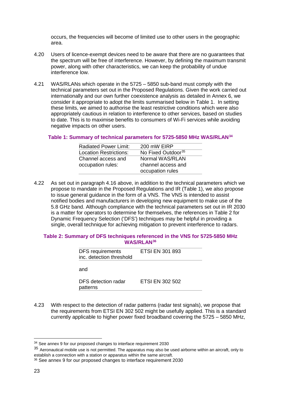occurs, the frequencies will become of limited use to other users in the geographic area.

- 4.20 Users of licence-exempt devices need to be aware that there are no guarantees that the spectrum will be free of interference. However, by defining the maximum transmit power, along with other characteristics, we can keep the probability of undue interference low.
- 4.21 WAS/RLANs which operate in the 5725 5850 sub-band must comply with the technical parameters set out in the Proposed Regulations. Given the work carried out internationally and our own further coexistence analysis as detailed in Annex 6, we consider it appropriate to adopt the limits summarised below in Table 1. In setting these limits, we aimed to authorise the least restrictive conditions which were also appropriately cautious in relation to interference to other services, based on studies to date. This is to maximise benefits to consumers of Wi-Fi services while avoiding negative impacts on other users.

#### **Table 1: Summary of technical parameters for 5725-5850 MHz WAS/RLAN[34](#page-23-0)**

| <b>Radiated Power Limit:</b>  | 200 mW EIRP                    |
|-------------------------------|--------------------------------|
| <b>Location Restrictions:</b> | No Fixed Outdoor <sup>35</sup> |
| Channel access and            | Normal WAS/RLAN                |
| occupation rules:             | channel access and             |
|                               | occupation rules               |

4.22 As set out in paragraph 4.16 above, in addition to the technical parameters which we propose to mandate in the Proposed Regulations and IR (Table 1), we also propose to issue general guidance in the form of a VNS. The VNS is intended to assist notified bodies and manufacturers in developing new equipment to make use of the 5.8 GHz band. Although compliance with the technical parameters set out in IR 2030 is a matter for operators to determine for themselves, the references in Table 2 for Dynamic Frequency Selection ('DFS') techniques may be helpful in providing a single, overall technique for achieving mitigation to prevent interference to radars.

#### **Table 2: Summary of DFS techniques referenced in the VNS for 5725-5850 MHz WAS/RLAN[36](#page-23-2)**

| <b>DFS</b> requirements<br>inc. detection threshold | <b>ETSI EN 301 893</b> |  |
|-----------------------------------------------------|------------------------|--|
| and                                                 |                        |  |
| <b>DFS</b> detection radar                          | ETSI EN 302 502        |  |

4.23 With respect to the detection of radar patterns (radar test signals), we propose that the requirements from ETSI EN 302 502 might be usefully applied. This is a standard currently applicable to higher power fixed broadband covering the 5725 – 5850 MHz,

patterns

<span id="page-23-0"></span><sup>&</sup>lt;sup>34</sup> See annex 9 for our proposed changes to interface requirement 2030

<span id="page-23-1"></span><sup>35</sup> Aeronautical mobile use is not permitted. The apparatus may also be used airborne within an aircraft, only to establish a connection with a station or apparatus within the same aircraft.

<span id="page-23-2"></span><sup>36</sup> See annex 9 for our proposed changes to interface requirement 2030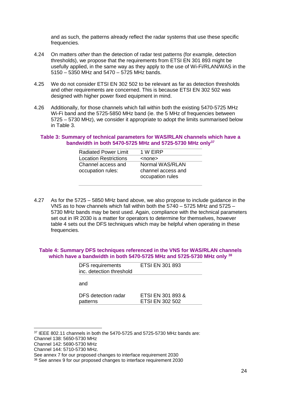and as such, the patterns already reflect the radar systems that use these specific frequencies.

- 4.24 On matters *other* than the detection of radar test patterns (for example, detection thresholds), we propose that the requirements from ETSI EN 301 893 might be usefully applied, in the same way as they apply to the use of Wi-Fi/RLAN/WAS in the 5150 – 5350 MHz and 5470 – 5725 MHz bands.
- 4.25 We do not consider ETSI EN 302 502 to be relevant as far as detection thresholds and other requirements are concerned. This is because ETSI EN 302 502 was designed with higher power fixed equipment in mind.
- 4.26 Additionally, for those channels which fall within both the existing 5470-5725 MHz Wi-Fi band and the 5725-5850 MHz band (ie. the 5 MHz of frequencies between 5725 – 5730 MHz), we consider it appropriate to adopt the limits summarised below in Table 3.

#### **Table 3: Summary of technical parameters for WAS/RLAN channels which have a bandwidth in both 5470-5725 MHz and 5725-5730 MHz only[37](#page-24-0)**

| <b>Radiated Power Limit</b>             | 1 W EIRP                                                  |
|-----------------------------------------|-----------------------------------------------------------|
| <b>Location Restrictions</b>            | <none></none>                                             |
| Channel access and<br>occupation rules: | Normal WAS/RLAN<br>channel access and<br>occupation rules |

4.27 As for the 5725 – 5850 MHz band above, we also propose to include guidance in the VNS as to how channels which fall within both the 5740 – 5725 MHz and 5725 – 5730 MHz bands may be best used. Again, compliance with the technical parameters set out in IR 2030 is a matter for operators to determine for themselves, however table 4 sets out the DFS techniques which may be helpful when operating in these frequencies.

#### **Table 4: Summary DFS techniques referenced in the VNS for WAS/RLAN channels which have a bandwidth in both 5470-5725 MHz and 5725-5730 MHz only [38](#page-24-1)**

| <b>DFS</b> requirements<br>inc. detection threshold | <b>ETSI EN 301 893</b>                      |
|-----------------------------------------------------|---------------------------------------------|
| and                                                 |                                             |
| DFS detection radar<br>patterns                     | ETSI EN 301 893 &<br><b>ETSI EN 302 502</b> |

<span id="page-24-0"></span> $37$  IEEE 802.11 channels in both the 5470-5725 and 5725-5730 MHz bands are:

Channel 138: 5650-5730 MHz

Channel 142: 5690-5730 MHz

Channel 144: 5710-5730 MHz.

See annex 7 for our proposed changes to interface requirement 2030

<span id="page-24-1"></span><sup>38</sup> See annex 9 for our proposed changes to interface requirement 2030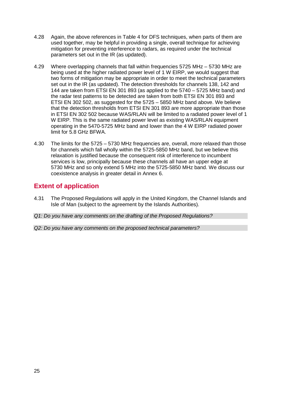- 4.28 Again, the above references in Table 4 for DFS techniques, when parts of them are used together, may be helpful in providing a single, overall technique for achieving mitigation for preventing interference to radars, as required under the technical parameters set out in the IR (as updated).
- 4.29 Where overlapping channels that fall within frequencies 5725 MHz 5730 MHz are being used at the higher radiated power level of 1 W EIRP, we would suggest that two forms of mitigation may be appropriate in order to meet the technical parameters set out in the IR (as updated). The detection thresholds for channels 138, 142 and 144 are taken from ETSI EN 301 893 (as applied to the 5740 – 5725 MHz band) and the radar test patterns to be detected are taken from both ETSI EN 301 893 and ETSI EN 302 502, as suggested for the 5725 – 5850 MHz band above. We believe that the detection thresholds from ETSI EN 301 893 are more appropriate than those in ETSI EN 302 502 because WAS/RLAN will be limited to a radiated power level of 1 W EIRP. This is the same radiated power level as existing WAS/RLAN equipment operating in the 5470-5725 MHz band and lower than the 4 W EIRP radiated power limit for 5.8 GHz BFWA.
- 4.30 The limits for the 5725 5730 MHz frequencies are, overall, more relaxed than those for channels which fall wholly within the 5725-5850 MHz band, but we believe this relaxation is justified because the consequent risk of interference to incumbent services is low, principally because these channels all have an upper edge at 5730 MHz and so only extend 5 MHz into the 5725-5850 MHz band. We discuss our coexistence analysis in greater detail in Annex 6.

# **Extent of application**

- 4.31 The Proposed Regulations will apply in the United Kingdom, the Channel Islands and Isle of Man (subject to the agreement by the Islands Authorities).
- *Q1: Do you have any comments on the drafting of the Proposed Regulations?*
- *Q2: Do you have any comments on the proposed technical parameters?*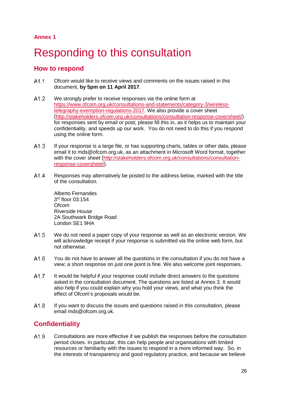**Annex 1**

# <span id="page-26-0"></span>Responding to this consultation

## **How to respond**

- $A1.1$ Ofcom would like to receive views and comments on the issues raised in this document, **by 5pm on 11 April 2017**.
- $A1.2$ We strongly prefer to receive responses via the online form at [https://www.ofcom.org.uk/consultations-and-statements/category-3/wireless](https://www.ofcom.org.uk/consultations-and-statements/category-3/wireless-telegraphy-exemption-regulations-2017)[telegraphy-exemption-regulations-2017.](https://www.ofcom.org.uk/consultations-and-statements/category-3/wireless-telegraphy-exemption-regulations-2017) We also provide a cover sheet [\(http://stakeholders.ofcom.org.uk/consultations/consultation-response-coversheet/\)](http://stakeholders.ofcom.org.uk/consultations/consultation-response-coversheet/) for responses sent by email or post; please fill this in, as it helps us to maintain your confidentiality, and speeds up our work. You do not need to do this if you respond using the online form.
- $A1.3$ If your response is a large file, or has supporting charts, tables or other data, please email it to mds@ofcom.org.uk, as an attachment in Microsoft Word format, together with the cover sheet [\(http://stakeholders.ofcom.org.uk/consultations/consultation](http://stakeholders.ofcom.org.uk/consultations/consultation-response-coversheet/)[response-coversheet/\)](http://stakeholders.ofcom.org.uk/consultations/consultation-response-coversheet/).
- $A1.4$ Responses may alternatively be posted to the address below, marked with the title of the consultation.

Alberto Fernandes 3rd floor 03:154 **Ofcom** Riverside House 2A Southwark Bridge Road London SE1 9HA

- $A1.5$ We do not need a paper copy of your response as well as an electronic version. We will acknowledge receipt if your response is submitted via the online web form, but not otherwise.
- $A1.6$ You do not have to answer all the questions in the consultation if you do not have a view; a short response on just one point is fine. We also welcome joint responses.
- A1.7 It would be helpful if your response could include direct answers to the questions asked in the consultation document. The questions are listed at Annex 3. It would also help if you could explain why you hold your views, and what you think the effect of Ofcom's proposals would be.
- $A1.8$ If you want to discuss the issues and questions raised in this consultation, please email mds@ofcom.org.uk.

# **Confidentiality**

 $A1.9$ Consultations are more effective if we publish the responses before the consultation period closes. In particular, this can help people and organisations with limited resources or familiarity with the issues to respond in a more informed way. So, in the interests of transparency and good regulatory practice, and because we believe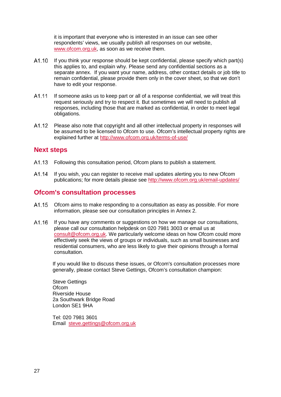it is important that everyone who is interested in an issue can see other respondents' views, we usually publish all responses on our website, [www.ofcom.org.uk,](http://www.ofcom.org.uk/) as soon as we receive them.

- $A1.10$ If you think your response should be kept confidential, please specify which part(s) this applies to, and explain why. Please send any confidential sections as a separate annex. If you want your name, address, other contact details or job title to remain confidential, please provide them only in the cover sheet, so that we don't have to edit your response.
- A1.11 If someone asks us to keep part or all of a response confidential, we will treat this request seriously and try to respect it. But sometimes we will need to publish all responses, including those that are marked as confidential, in order to meet legal obligations.
- A1.12 Please also note that copyright and all other intellectual property in responses will be assumed to be licensed to Ofcom to use. Ofcom's intellectual property rights are explained further at<http://www.ofcom.org.uk/terms-of-use/>

### **Next steps**

- $A1.13$ Following this consultation period, Ofcom plans to publish a statement.
- A1.14 If you wish, you can register to receive mail updates alerting you to new Ofcom publications; for more details please see<http://www.ofcom.org.uk/email-updates/>

## **Ofcom's consultation processes**

- A1.15 Ofcom aims to make responding to a consultation as easy as possible. For more information, please see our consultation principles in Annex 2.
- A1.16 If you have any comments or suggestions on how we manage our consultations, please call our consultation helpdesk on 020 7981 3003 or email us at [consult@ofcom.org.uk.](mailto:consult@ofcom.org.uk) We particularly welcome ideas on how Ofcom could more effectively seek the views of groups or individuals, such as small businesses and residential consumers, who are less likely to give their opinions through a formal consultation.

If you would like to discuss these issues, or Ofcom's consultation processes more generally, please contact Steve Gettings, Ofcom's consultation champion:

Steve Gettings **Ofcom** Riverside House 2a Southwark Bridge Road London SE1 9HA

Tel: 020 7981 3601 Email [steve.gettings@ofcom.org.uk](mailto:steve.gettings@ofcom.org.uk)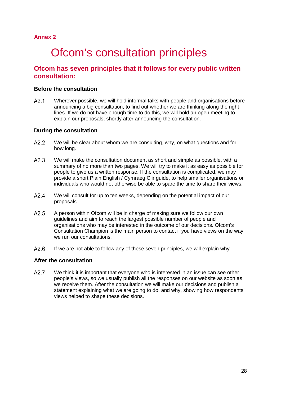### <span id="page-28-0"></span>**Annex 2**

# **Ofcom's consultation principles**

## **Ofcom has seven principles that it follows for every public written consultation:**

#### **Before the consultation**

 $A2.1$ Wherever possible, we will hold informal talks with people and organisations before announcing a big consultation, to find out whether we are thinking along the right lines. If we do not have enough time to do this, we will hold an open meeting to explain our proposals, shortly after announcing the consultation.

#### **During the consultation**

- $A2.2$ We will be clear about whom we are consulting, why, on what questions and for how long.
- $A2.3$ We will make the consultation document as short and simple as possible, with a summary of no more than two pages. We will try to make it as easy as possible for people to give us a written response. If the consultation is complicated, we may provide a short Plain English / Cymraeg Clir guide, to help smaller organisations or individuals who would not otherwise be able to spare the time to share their views.
- $A2.4$ We will consult for up to ten weeks, depending on the potential impact of our proposals.
- $A2.5$ A person within Ofcom will be in charge of making sure we follow our own guidelines and aim to reach the largest possible number of people and organisations who may be interested in the outcome of our decisions. Ofcom's Consultation Champion is the main person to contact if you have views on the way we run our consultations.
- $A2.6$ If we are not able to follow any of these seven principles, we will explain why.

#### **After the consultation**

 $A2.7$ We think it is important that everyone who is interested in an issue can see other people's views, so we usually publish all the responses on our website as soon as we receive them. After the consultation we will make our decisions and publish a statement explaining what we are going to do, and why, showing how respondents' views helped to shape these decisions.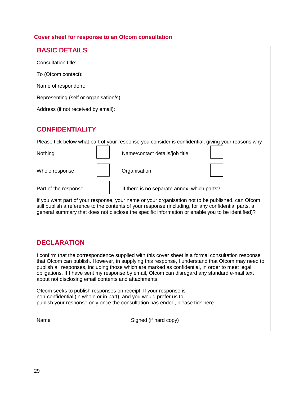# **Cover sheet for response to an Ofcom consultation**

| <b>BASIC DETAILS</b>                                                                                                                                                                                                                                                                                                                                                                                                                                                |                                                                                                    |  |  |  |
|---------------------------------------------------------------------------------------------------------------------------------------------------------------------------------------------------------------------------------------------------------------------------------------------------------------------------------------------------------------------------------------------------------------------------------------------------------------------|----------------------------------------------------------------------------------------------------|--|--|--|
| Consultation title:                                                                                                                                                                                                                                                                                                                                                                                                                                                 |                                                                                                    |  |  |  |
| To (Ofcom contact):                                                                                                                                                                                                                                                                                                                                                                                                                                                 |                                                                                                    |  |  |  |
| Name of respondent:                                                                                                                                                                                                                                                                                                                                                                                                                                                 |                                                                                                    |  |  |  |
| Representing (self or organisation/s):                                                                                                                                                                                                                                                                                                                                                                                                                              |                                                                                                    |  |  |  |
| Address (if not received by email):                                                                                                                                                                                                                                                                                                                                                                                                                                 |                                                                                                    |  |  |  |
|                                                                                                                                                                                                                                                                                                                                                                                                                                                                     |                                                                                                    |  |  |  |
| <b>CONFIDENTIALITY</b>                                                                                                                                                                                                                                                                                                                                                                                                                                              |                                                                                                    |  |  |  |
|                                                                                                                                                                                                                                                                                                                                                                                                                                                                     | Please tick below what part of your response you consider is confidential, giving your reasons why |  |  |  |
| Nothing                                                                                                                                                                                                                                                                                                                                                                                                                                                             | Name/contact details/job title                                                                     |  |  |  |
| Whole response                                                                                                                                                                                                                                                                                                                                                                                                                                                      | Organisation                                                                                       |  |  |  |
| Part of the response                                                                                                                                                                                                                                                                                                                                                                                                                                                | If there is no separate annex, which parts?                                                        |  |  |  |
| If you want part of your response, your name or your organisation not to be published, can Ofcom<br>still publish a reference to the contents of your response (including, for any confidential parts, a<br>general summary that does not disclose the specific information or enable you to be identified)?                                                                                                                                                        |                                                                                                    |  |  |  |
| <b>DECLARATION</b>                                                                                                                                                                                                                                                                                                                                                                                                                                                  |                                                                                                    |  |  |  |
| I confirm that the correspondence supplied with this cover sheet is a formal consultation response<br>that Ofcom can publish. However, in supplying this response, I understand that Ofcom may need to<br>publish all responses, including those which are marked as confidential, in order to meet legal<br>obligations. If I have sent my response by email, Ofcom can disregard any standard e-mail text<br>about not disclosing email contents and attachments. |                                                                                                    |  |  |  |
| Ofcom seeks to publish responses on receipt. If your response is<br>non-confidential (in whole or in part), and you would prefer us to<br>publish your response only once the consultation has ended, please tick here.                                                                                                                                                                                                                                             |                                                                                                    |  |  |  |
| Name                                                                                                                                                                                                                                                                                                                                                                                                                                                                | Signed (if hard copy)                                                                              |  |  |  |
|                                                                                                                                                                                                                                                                                                                                                                                                                                                                     |                                                                                                    |  |  |  |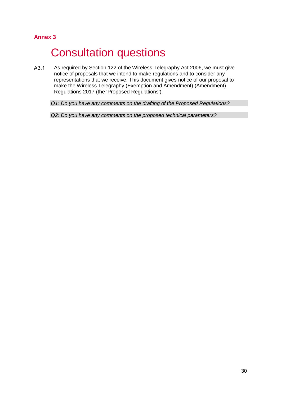## <span id="page-30-0"></span>**Annex 3**

# **Consultation questions**

 $A3.1$ As required by Section 122 of the Wireless Telegraphy Act 2006, we must give notice of proposals that we intend to make regulations and to consider any representations that we receive. This document gives notice of our proposal to make the Wireless Telegraphy (Exemption and Amendment) (Amendment) Regulations 2017 (the 'Proposed Regulations').

*Q1: Do you have any comments on the drafting of the Proposed Regulations?*

*Q2: Do you have any comments on the proposed technical parameters?*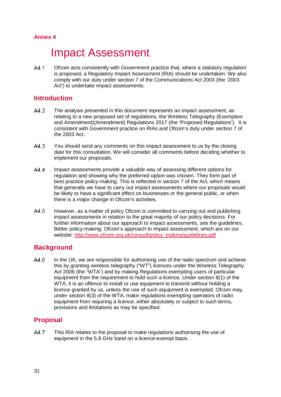## <span id="page-31-0"></span>**Annex 4**

# **Impact Assessment**

A4.1 Ofcom acts consistently with Government practice that, where a statutory regulation is proposed, a Regulatory Impact Assessment (RIA) should be undertaken. We also comply with our duty under section 7 of the Communications Act 2003 (the '2003 Act') to undertake impact assessments.

## **Introduction**

- A4.2 The analysis presented in this document represents an impact assessment, as relating to a new proposed set of regulations, the Wireless Telegraphy (Exemption and Amendment)(Amendment) Regulations 2017 (the 'Proposed Regulations'). It is consistent with Government practice on RIAs and Ofcom's duty under section 7 of the 2003 Act.
- $A4.3$ You should send any comments on this impact assessment to us by the closing date for this consultation. We will consider all comments before deciding whether to implement our proposals.
- A4 4 Impact assessments provide a valuable way of assessing different options for regulation and showing why the preferred option was chosen. They form part of best practice policy-making. This is reflected in section 7 of the Act, which means that generally we have to carry out impact assessments where our proposals would be likely to have a significant effect on businesses or the general public, or when there is a major change in Ofcom's activities.
- $A4.5$ However, as a matter of policy Ofcom is committed to carrying out and publishing impact assessments in relation to the great majority of our policy decisions. For further information about our approach to impact assessments, see the guidelines, Better policy-making: Ofcom's approach to impact assessment, which are on our website: [http://www.ofcom.org.uk/consult/policy\\_making/guidelines.pdf](http://www.ofcom.org.uk/consult/policy_making/guidelines.pdf)

## **Background**

 $A4.6$ In the UK, we are responsible for authorising use of the radio spectrum and achieve this by granting wireless telegraphy ("WT") licences under the Wireless Telegraphy Act 2006 (the "WTA") and by making Regulations exempting users of particular equipment from the requirement to hold such a licence. Under section 8(1) of the WTA, it is an offence to install or use equipment to transmit without holding a licence granted by us, unless the use of such equipment is exempted. Ofcom may, under section 8(3) of the WTA, make regulations exempting operators of radio equipment from requiring a licence, either absolutely or subject to such terms, provisions and limitations as may be specified.

## **Proposal**

A4.7 This RIA relates to the proposal to make regulations authorising the use of equipment in the 5.8 GHz band on a licence-exempt basis.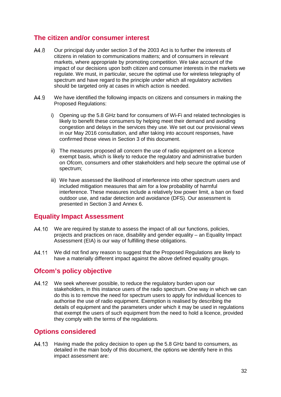## **The citizen and/or consumer interest**

- $A4.8$ Our principal duty under section 3 of the 2003 Act is to further the interests of citizens in relation to communications matters; and of consumers in relevant markets, where appropriate by promoting competition. We take account of the impact of our decisions upon both citizen and consumer interests in the markets we regulate. We must, in particular, secure the optimal use for wireless telegraphy of spectrum and have regard to the principle under which all regulatory activities should be targeted only at cases in which action is needed.
- $A4.9$ We have identified the following impacts on citizens and consumers in making the Proposed Regulations:
	- i) Opening up the 5.8 GHz band for consumers of Wi-Fi and related technologies is likely to benefit these consumers by helping meet their demand and avoiding congestion and delays in the services they use. We set out our provisional views in our May 2016 consultation, and after taking into account responses, have confirmed those views in Section 3 of this document.
	- ii) The measures proposed all concern the use of radio equipment on a licence exempt basis, which is likely to reduce the regulatory and administrative burden on Ofcom, consumers and other stakeholders and help secure the optimal use of spectrum;
	- iii) We have assessed the likelihood of interference into other spectrum users and included mitigation measures that aim for a low probability of harmful interference. These measures include a relatively low power limit, a ban on fixed outdoor use, and radar detection and avoidance (DFS). Our assessment is presented in Section 3 and Annex 6.

## **Equality Impact Assessment**

- A4.10 We are required by statute to assess the impact of all our functions, policies, projects and practices on race, disability and gender equality – an Equality Impact Assessment (EIA) is our way of fulfilling these obligations.
- A4.11 We did not find any reason to suggest that the Proposed Regulations are likely to have a materially different impact against the above defined equality groups.

## **Ofcom's policy objective**

A4.12 We seek wherever possible, to reduce the regulatory burden upon our stakeholders, in this instance users of the radio spectrum. One way in which we can do this is to remove the need for spectrum users to apply for individual licences to authorise the use of radio equipment. Exemption is realised by describing the details of equipment and the parameters under which it may be used in regulations that exempt the users of such equipment from the need to hold a licence, provided they comply with the terms of the regulations.

## **Options considered**

A4.13 Having made the policy decision to open up the 5.8 GHz band to consumers, as detailed in the main body of this document, the options we identify here in this impact assessment are: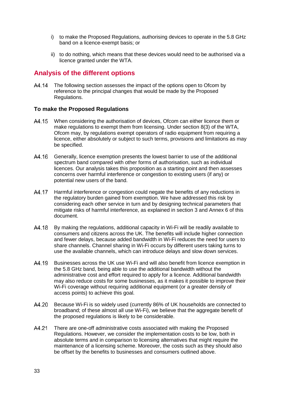- i) to make the Proposed Regulations, authorising devices to operate in the 5.8 GHz band on a licence-exempt basis; or
- ii) to do nothing, which means that these devices would need to be authorised via a licence granted under the WTA.

## **Analysis of the different options**

A4.14 The following section assesses the impact of the options open to Ofcom by reference to the principal changes that would be made by the Proposed Regulations.

#### **To make the Proposed Regulations**

- When considering the authorisation of devices, Ofcom can either licence them or A4.15 make regulations to exempt them from licensing. Under section 8(3) of the WTA, Ofcom may, by regulations exempt operators of radio equipment from requiring a licence, either absolutely or subject to such terms, provisions and limitations as may be specified.
- A4.16 Generally, licence exemption presents the lowest barrier to use of the additional spectrum band compared with other forms of authorisation, such as individual licences. Our analysis takes this proposition as a starting point and then assesses concerns over harmful interference or congestion to existing users (if any) or potential new users of the band.
- A4.17 Harmful interference or congestion could negate the benefits of any reductions in the regulatory burden gained from exemption. We have addressed this risk by considering each other service in turn and by designing technical parameters that mitigate risks of harmful interference, as explained in section 3 and Annex 6 of this document.
- A4.18 By making the regulations, additional capacity in Wi-Fi will be readily available to consumers and citizens across the UK. The benefits will include higher connection and fewer delays, because added bandwidth in Wi-Fi reduces the need for users to share channels. Channel sharing in Wi-Fi occurs by different users taking turns to use the available channels, which can introduce delays and slow down services.
- Businesses across the UK use Wi-Fi and will also benefit from licence exemption in A4.19 the 5.8 GHz band, being able to use the additional bandwidth without the administrative cost and effort required to apply for a licence. Additional bandwidth may also reduce costs for some businesses, as it makes it possible to improve their Wi-Fi coverage without requiring additional equipment (or a greater density of access points) to achieve this goal.
- A4.20 Because Wi-Fi is so widely used (currently 86% of UK households are connected to broadband; of these almost all use Wi-Fi), we believe that the aggregate benefit of the proposed regulations is likely to be considerable.
- A4.21 There are one-off administrative costs associated with making the Proposed Regulations. However, we consider the implementation costs to be low, both in absolute terms and in comparison to licensing alternatives that might require the maintenance of a licensing scheme. Moreover, the costs such as they should also be offset by the benefits to businesses and consumers outlined above.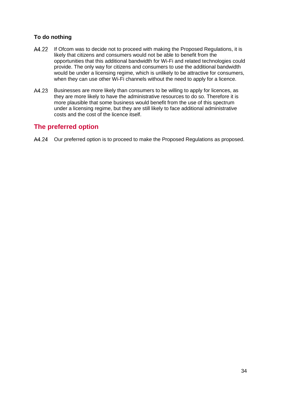## **To do nothing**

- A4.22 If Ofcom was to decide not to proceed with making the Proposed Regulations, it is likely that citizens and consumers would not be able to benefit from the opportunities that this additional bandwidth for Wi-Fi and related technologies could provide. The only way for citizens and consumers to use the additional bandwidth would be under a licensing regime, which is unlikely to be attractive for consumers, when they can use other Wi-Fi channels without the need to apply for a licence.
- Businesses are more likely than consumers to be willing to apply for licences, as A4.23 they are more likely to have the administrative resources to do so. Therefore it is more plausible that some business would benefit from the use of this spectrum under a licensing regime, but they are still likely to face additional administrative costs and the cost of the licence itself.

## **The preferred option**

A4.24 Our preferred option is to proceed to make the Proposed Regulations as proposed.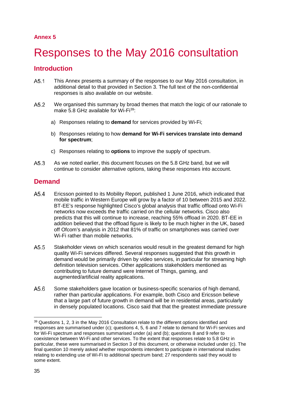## **Annex 5**

# <span id="page-35-0"></span>5 Responses to the May 2016 consultation

## **Introduction**

- $A5<sub>1</sub>$ This Annex presents a summary of the responses to our May 2016 consultation, in additional detail to that provided in Section 3. The full text of the non-confidential responses is also available on our website.
- $A5.2$ We organised this summary by broad themes that match the logic of our rationale to make 5.8 GHz available for Wi-Fi<sup>39</sup>:
	- a) Responses relating to **demand** for services provided by Wi-Fi;
	- b) Responses relating to how **demand for Wi-Fi services translate into demand for spectrum**;
	- c) Responses relating to **options** to improve the supply of spectrum.
- $A5.3$ As we noted earlier, this document focuses on the 5.8 GHz band, but we will continue to consider alternative options, taking these responses into account.

## **Demand**

- $A5.4$ Ericsson pointed to its Mobility Report, published 1 June 2016, which indicated that mobile traffic in Western Europe will grow by a factor of 10 between 2015 and 2022. BT-EE's response highlighted Cisco's global analysis that traffic offload onto Wi-Fi networks now exceeds the traffic carried on the cellular networks. Cisco also predicts that this will continue to increase, reaching 55% offload in 2020. BT-EE in addition believed that the offload figure is likely to be much higher in the UK, based off Ofcom's analysis in 2012 that 81% of traffic on smartphones was carried over Wi-Fi rather than mobile networks.
- $A5.5$ Stakeholder views on which scenarios would result in the greatest demand for high quality Wi-Fi services differed. Several responses suggested that this growth in demand would be primarily driven by video services, in particular for streaming high definition television services. Other applications stakeholders mentioned as contributing to future demand were Internet of Things, gaming, and augmented/artificial reality applications.
- $A5.6$ Some stakeholders gave location or business-specific scenarios of high demand, rather than particular applications. For example, both Cisco and Ericsson believe that a large part of future growth in demand will be in residential areas, particularly in densely populated locations. Cisco said that that the greatest immediate pressure

<span id="page-35-1"></span> <sup>39</sup> Questions 1, 2, 3 in the May 2016 Consultation relate to the different options identified and responses are summarised under (c); questions 4, 5, 6 and 7 relate to demand for Wi-Fi services and for Wi-Fi spectrum and responses summarised under (a) and (b); questions 8 and 9 refer to coexistence between Wi-Fi and other services. To the extent that responses relate to 5.8 GHz in particular, these were summarised in Section 3 of this document, or otherwise included under (c). The final question 10 merely asked whether respondents intendent to participate in international studies relating to extending use of Wi-Fi to additional spectrum band; 27 respondents said they would to some extent.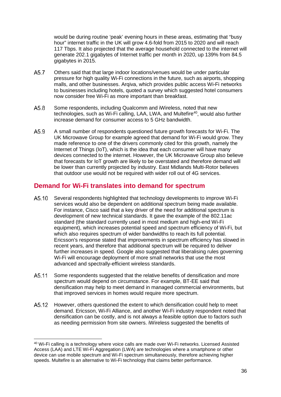would be during routine 'peak' evening hours in these areas, estimating that "busy hour" internet traffic in the UK will grow 4.6-fold from 2015 to 2020 and will reach 117 Tbps. It also projected that the average household connected to the internet will generate 202.1 gigabytes of Internet traffic per month in 2020, up 139% from 84.5 gigabytes in 2015.

- $A5.7$ Others said that that large indoor locations/venues would be under particular pressure for high quality Wi-Fi connections in the future, such as airports, shopping malls, and other businesses. Arqiva, which provides public access Wi-Fi networks to businesses including hotels, quoted a survey which suggested hotel consumers now consider free Wi-Fi as more important than breakfast.
- $A5.8$ Some respondents, including Qualcomm and iWireless, noted that new technologies, such as Wi-Fi calling, LAA, LWA, and Multefire<sup>40</sup>, would also further increase demand for consumer access to 5 GHz bandwidth.
- $A5.9$ A small number of respondents questioned future growth forecasts for Wi-Fi. The UK Microwave Group for example agreed that demand for Wi-Fi would grow. They made reference to one of the drivers commonly cited for this growth, namely the Internet of Things (IoT), which is the idea that each consumer will have many devices connected to the internet. However, the UK Microwave Group also believe that forecasts for IoT growth are likely to be overstated and therefore demand will be lower than currently projected by industry. East Midlands Multi-Rotor believes that outdoor use would not be required with wider roll out of 4G services.

## **Demand for Wi-Fi translates into demand for spectrum**

- A5.10 Several respondents highlighted that technology developments to improve Wi-Fi services would also be dependent on additional spectrum being made available. For instance, Cisco said that a key driver of the need for additional spectrum is development of new technical standards. It gave the example of the 802.11ac standard (the standard currently used in most medium and high-end Wi-Fi equipment), which increases potential speed and spectrum efficiency of Wi-Fi, but which also requires spectrum of wider bandwidths to reach its full potential. Ericsson's response stated that improvements in spectrum efficiency has slowed in recent years, and therefore that additional spectrum will be required to deliver further increases in speed. Google also suggested that liberalising rules governing Wi-Fi will encourage deployment of more small networks that use the most advanced and spectrally-efficient wireless standards.
- A5.11 Some respondents suggested that the relative benefits of densification and more spectrum would depend on circumstance. For example, BT-EE said that densification may help to meet demand in managed commercial environments, but that improved services in homes would require more spectrum.
- However, others questioned the extent to which densification could help to meet A5.12 demand. Ericsson, Wi-Fi Alliance, and another Wi-Fi industry respondent noted that densification can be costly, and is not always a feasible option due to factors such as needing permission from site owners. iWireless suggested the benefits of

<span id="page-36-0"></span> <sup>40</sup> Wi-Fi calling is a technology where voice calls are made over Wi-Fi networks. Licensed Assisted Access (LAA) and LTE Wi-Fi Aggregation (LWA) are technologies where a smartphone or other device can use mobile spectrum and Wi-Fi spectrum simultaneously, therefore achieving higher speeds. Multefire is an alternative to Wi-Fi technology that claims better performance.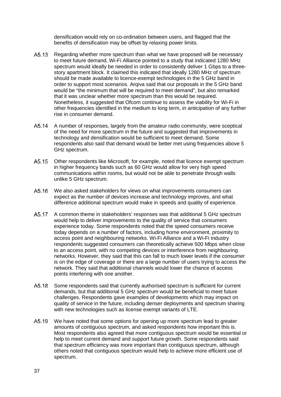densification would rely on co-ordination between users, and flagged that the benefits of densification may be offset by relaxing power limits.

- A5.13 Regarding whether more spectrum than what we have proposed will be necessary to meet future demand, Wi-Fi Alliance pointed to a study that indicated 1280 MHz spectrum would ideally be needed in order to consistently deliver 1 Gbps to a threestory apartment block. It claimed this indicated that ideally 1280 MHz of spectrum should be made available to licence-exempt technologies in the 5 GHz band in order to support most scenarios. Arqiva said that our proposals in the 5 GHz band would be "the minimum that will be required to meet demand", but also remarked that it was unclear whether more spectrum than this would be required. Nonetheless, it suggested that Ofcom continue to assess the viability for Wi-Fi in other frequencies identified in the medium to long term, in anticipation of any further rise in consumer demand.
- A5.14 A number of responses, largely from the amateur radio community, were sceptical of the need for more spectrum in the future and suggested that improvements in technology and densification would be sufficient to meet demand. Some respondents also said that demand would be better met using frequencies above 5 GHz spectrum.
- A5.15 Other respondents like Microsoft, for example, noted that licence exempt spectrum in higher frequency bands such as 60 GHz would allow for very high speed communications within rooms, but would not be able to penetrate through walls unlike 5 GHz spectrum.
- A<sub>5</sub>.16 We also asked stakeholders for views on what improvements consumers can expect as the number of devices increase and technology improves, and what difference additional spectrum would make in speeds and quality of experience.
- A5.17 A common theme in stakeholders' responses was that additional 5 GHz spectrum would help to deliver improvements to the quality of service that consumers experience today. Some respondents noted that the speed consumers receive today depends on a number of factors, including home environment, proximity to access point and neighbouring networks. Wi-Fi Alliance and a Wi-Fi industry respondents suggested consumers can theoretically achieve 500 Mbps when close to an access point, with no competing devices or interference from neighbouring networks. However, they said that this can fall to much lower levels if the consumer is on the edge of coverage or there are a large number of users trying to access the network. They said that additional channels would lower the chance of access points interfering with one another.
- A5.18 Some respondents said that currently authorised spectrum is sufficient for current demands, but that additional 5 GHz spectrum would be beneficial to meet future challenges. Respondents gave examples of developments which may impact on quality of service in the future, including denser deployments and spectrum sharing with new technologies such as license exempt variants of LTE.
- A5.19 We have noted that some options for opening up more spectrum lead to greater amounts of contiguous spectrum, and asked respondents how important this is. Most respondents also agreed that more contiguous spectrum would be essential or help to meet current demand and support future growth. Some respondents said that spectrum efficiency was more important than contiguous spectrum, although others noted that contiguous spectrum would help to achieve more efficient use of spectrum.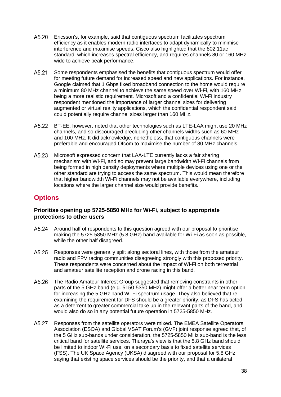- A5.20 Ericsson's, for example, said that contiguous spectrum facilitates spectrum efficiency as it enables modern radio interfaces to adapt dynamically to minimise interference and maximise speeds. Cisco also highlighted that the 802.11ac standard, which increases spectral efficiency, and requires channels 80 or 160 MHz wide to achieve peak performance.
- A5.21 Some respondents emphasised the benefits that contiguous spectrum would offer for meeting future demand for increased speed and new applications. For instance, Google claimed that 1 Gbps fixed broadband connection to the home would require a minimum 80 MHz channel to achieve the same speed over Wi-Fi, with 160 MHz being a more realistic requirement. Microsoft and a confidential Wi-Fi industry respondent mentioned the importance of larger channel sizes for delivering augmented or virtual reality applications, which the confidential respondent said could potentially require channel sizes larger than 160 MHz.
- A5.22 BT-EE, however, noted that other technologies such as LTE-LAA might use 20 MHz channels, and so discouraged precluding other channels widths such as 60 MHz and 100 MHz. It did acknowledge, nonetheless, that contiguous channels were preferable and encouraged Ofcom to maximise the number of 80 MHz channels.
- A5.23 Microsoft expressed concern that LAA-LTE currently lacks a fair sharing mechanism with Wi-Fi, and so may prevent large bandwidth Wi-Fi channels from being formed in high density deployments where multiple devices using one or the other standard are trying to access the same spectrum. This would mean therefore that higher bandwidth Wi-Fi channels may not be available everywhere, including locations where the larger channel size would provide benefits.

## **Options**

#### **Prioritise opening up 5725-5850 MHz for Wi-Fi, subject to appropriate protections to other users**

- A5.24 Around half of respondents to this question agreed with our proposal to prioritise making the 5725-5850 MHz (5.8 GHz) band available for Wi-Fi as soon as possible, while the other half disagreed.
- A5.25 Responses were generally split along sectoral lines, with those from the amateur radio and FPV racing communities disagreeing strongly with this proposed priority. These respondents were concerned about the impact of Wi-Fi on both terrestrial and amateur satellite reception and drone racing in this band.
- A5.26 The Radio Amateur Interest Group suggested that removing constraints in other parts of the 5 GHz band (e.g. 5150-5350 MHz) might offer a better near term option for increasing the 5 GHz band Wi-Fi spectrum usage. They also believed that reexamining the requirement for DFS should be a greater priority, as DFS has acted as a deterrent to greater commercial take up in the relevant parts of the band, and would also do so in any potential future operation in 5725-5850 MHz.
- Responses from the satellite operators were mixed. The EMEA Satellite Operators A5.27 Association (ESOA) and Global VSAT Forum's (GVF) joint response agreed that, of the 5 GHz sub-bands under consideration, the 5725-5850 MHz sub-band is the less critical band for satellite services. Thuraya's view is that the 5.8 GHz band should be limited to indoor Wi-Fi use, on a secondary basis to fixed satellite services (FSS). The UK Space Agency (UKSA) disagreed with our proposal for 5.8 GHz, saying that existing space services should be the priority, and that a unilateral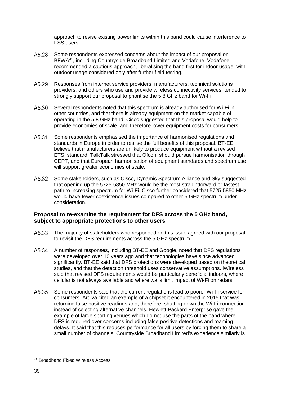approach to revise existing power limits within this band could cause interference to FSS users.

- A5.28 Some respondents expressed concerns about the impact of our proposal on BFWA[41,](#page-39-0) including Countryside Broadband Limited and Vodafone. Vodafone recommended a cautious approach, liberalising the band first for indoor usage, with outdoor usage considered only after further field testing.
- A5.29 Responses from internet service providers, manufacturers, technical solutions providers, and others who use and provide wireless connectivity services, tended to strongly support our proposal to prioritise the 5.8 GHz band for Wi-Fi.
- A5.30 Several respondents noted that this spectrum is already authorised for Wi-Fi in other countries, and that there is already equipment on the market capable of operating in the 5.8 GHz band. Cisco suggested that this proposal would help to provide economies of scale, and therefore lower equipment costs for consumers.
- A5.31 Some respondents emphasised the importance of harmonised regulations and standards in Europe in order to realise the full benefits of this proposal. BT-EE believe that manufacturers are unlikely to produce equipment without a revised ETSI standard. TalkTalk stressed that Ofcom should pursue harmonisation through CEPT, and that European harmonisation of equipment standards and spectrum use will support greater economies of scale.
- A5.32 Some stakeholders, such as Cisco, Dynamic Spectrum Alliance and Sky suggested that opening up the 5725-5850 MHz would be the most straightforward or fastest path to increasing spectrum for Wi-Fi. Cisco further considered that 5725-5850 MHz would have fewer coexistence issues compared to other 5 GHz spectrum under consideration.

#### **Proposal to re-examine the requirement for DFS across the 5 GHz band, subject to appropriate protections to other users**

- The majority of stakeholders who responded on this issue agreed with our proposal A5.33 to revisit the DFS requirements across the 5 GHz spectrum.
- A5.34 A number of responses, including BT-EE and Google, noted that DFS regulations were developed over 10 years ago and that technologies have since advanced significantly. BT-EE said that DFS protections were developed based on theoretical studies, and that the detection threshold uses conservative assumptions. iWireless said that revised DFS requirements would be particularly beneficial indoors, where cellular is not always available and where walls limit impact of Wi-Fi on radars.
- Some respondents said that the current regulations lead to poorer Wi-Fi service for A5.35 consumers. Arqiva cited an example of a chipset it encountered in 2015 that was returning false positive readings and, therefore, shutting down the Wi-Fi connection instead of selecting alternative channels. Hewlett Packard Enterprise gave the example of large sporting venues which do not use the parts of the band where DFS is required over concerns including false positive detections and roaming delays. It said that this reduces performance for all users by forcing them to share a small number of channels. Countryside Broadband Limited's experience similarly is

<span id="page-39-0"></span> <sup>41</sup> Broadband Fixed Wireless Access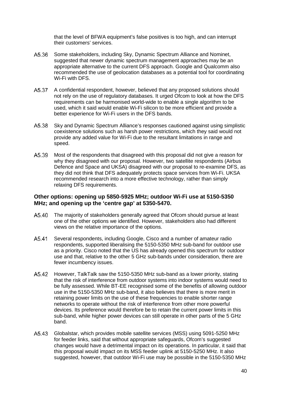that the level of BFWA equipment's false positives is too high, and can interrupt their customers' services.

- A5.36 Some stakeholders, including Sky, Dynamic Spectrum Alliance and Nominet, suggested that newer dynamic spectrum management approaches may be an appropriate alternative to the current DFS approach. Google and Qualcomm also recommended the use of geolocation databases as a potential tool for coordinating Wi-Fi with DFS.
- A5.37 A confidential respondent, however, believed that any proposed solutions should not rely on the use of regulatory databases. It urged Ofcom to look at how the DFS requirements can be harmonised world-wide to enable a single algorithm to be used, which it said would enable Wi-Fi silicon to be more efficient and provide a better experience for Wi-Fi users in the DFS bands.
- A5.38 Sky and Dynamic Spectrum Alliance's responses cautioned against using simplistic coexistence solutions such as harsh power restrictions, which they said would not provide any added value for Wi-Fi due to the resultant limitations in range and speed.
- A5.39 Most of the respondents that disagreed with this proposal did not give a reason for why they disagreed with our proposal. However, two satellite respondents (Airbus Defence and Space and UKSA) disagreed with our proposal to re-examine DFS, as they did not think that DFS adequately protects space services from Wi-Fi. UKSA recommended research into a more effective technology, rather than simply relaxing DFS requirements.

#### **Other options: opening up 5850-5925 MHz; outdoor Wi-Fi use at 5150-5350 MHz; and opening up the 'centre gap' at 5350-5470.**

- A5.40 The majority of stakeholders generally agreed that Ofcom should pursue at least one of the other options we identified. However, stakeholders also had different views on the relative importance of the options.
- Several respondents, including Google, Cisco and a number of amateur radio A5.41 respondents, supported liberalising the 5150-5350 MHz sub-band for outdoor use as a priority. Cisco noted that the US has already opened this spectrum for outdoor use and that, relative to the other 5 GHz sub-bands under consideration, there are fewer incumbency issues.
- A5.42 However, TalkTalk saw the 5150-5350 MHz sub-band as a lower priority, stating that the risk of interference from outdoor systems into indoor systems would need to be fully assessed. While BT-EE recognised some of the benefits of allowing outdoor use in the 5150-5350 MHz sub-band, it also believes that there is more merit in retaining power limits on the use of these frequencies to enable shorter range networks to operate without the risk of interference from other more powerful devices. Its preference would therefore be to retain the current power limits in this sub-band, while higher power devices can still operate in other parts of the 5 GHz band.
- A<sub>5</sub>.43 Globalstar, which provides mobile satellite services (MSS) using 5091-5250 MHz for feeder links, said that without appropriate safeguards, Ofcom's suggested changes would have a detrimental impact on its operations. In particular, it said that this proposal would impact on its MSS feeder uplink at 5150-5250 MHz. It also suggested, however, that outdoor Wi-Fi use may be possible in the 5150-5350 MHz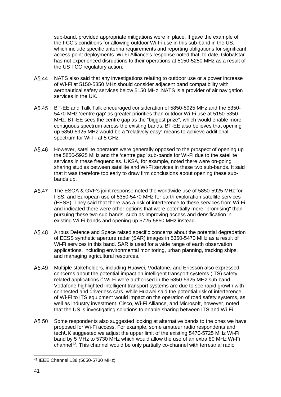sub-band, provided appropriate mitigations were in place. It gave the example of the FCC's conditions for allowing outdoor Wi-Fi use in this sub-band in the US, which include specific antenna requirements and reporting obligations for significant access point deployments. Wi-Fi Alliance's response noted that, to date, Globalstar has not experienced disruptions to their operations at 5150-5250 MHz as a result of the US FCC regulatory action.

- NATS also said that any investigations relating to outdoor use or a power increase of Wi-Fi at 5150-5350 MHz should consider adjacent band compatibility with aeronautical safety services below 5150 MHz. NATS is a provider of air navigation services in the UK.
- BT-EE and Talk Talk encouraged consideration of 5850-5925 MHz and the 5350- A5.45 5470 MHz 'centre gap' as greater priorities than outdoor Wi-Fi use at 5150-5350 MHz. BT-EE sees the centre gap as the "biggest prize", which would enable more contiguous spectrum across the existing bands. BT-EE also believes that opening up 5850-5925 MHz would be a "relatively easy" means to achieve additional spectrum for Wi-Fi at 5 GHz.
- A5.46 However, satellite operators were generally opposed to the prospect of opening up the 5850-5925 MHz and the 'centre gap' sub-bands for Wi-Fi due to the satellite services in these frequencies. UKSA, for example, noted there were on-going sharing studies between satellite and Wi-Fi services in these two sub-bands. It said that it was therefore too early to draw firm conclusions about opening these subbands up.
- A<sub>5</sub>.47 The ESOA & GVF's joint response noted the worldwide use of 5850-5925 MHz for FSS, and European use of 5350-5470 MHz for earth exploration satellite services (EESS). They said that there was a risk of interference to these services from Wi-Fi, and indicated there were other options that were potentially more "promising" than pursuing these two sub-bands, such as improving access and densification in existing Wi-Fi bands and opening up 5725-5850 MHz instead.
- A5.48 Airbus Defence and Space raised specific concerns about the potential degradation of EESS synthetic aperture radar (SAR) images in 5350-5470 MHz as a result of Wi-Fi services in this band. SAR is used for a wide range of earth observation applications, including environmental monitoring, urban planning, tracking ships, and managing agricultural resources.
- A5.49 Multiple stakeholders, including Huawei, Vodafone, and Ericsson also expressed concerns about the potential impact on intelligent transport systems (ITS) safetyrelated applications if Wi-Fi were authorised in the 5850-5925 MHz sub band. Vodafone highlighted intelligent transport systems are due to see rapid growth with connected and driverless cars, while Huawei said the potential risk of interference of Wi-Fi to ITS equipment would impact on the operation of road safety systems, as well as industry investment. Cisco, Wi-Fi Alliance, and Microsoft, however, noted that the US is investigating solutions to enable sharing between ITS and Wi-Fi.
- A5.50 Some respondents also suggested looking at alternative bands to the ones we have proposed for Wi-Fi access. For example, some amateur radio respondents and techUK suggested we adjust the upper limit of the existing 5470-5725 MHz Wi-Fi band by 5 MHz to 5730 MHz which would allow the use of an extra 80 MHz Wi-Fi channel<sup>[42](#page-41-0)</sup>. This channel would be only partially co-channel with terrestrial radio

<span id="page-41-0"></span> <sup>42</sup> IEEE Channel 138 (5650-5730 MHz)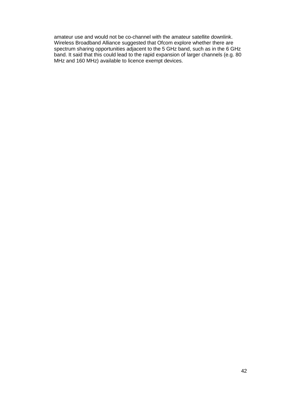amateur use and would not be co-channel with the amateur satellite downlink. Wireless Broadband Alliance suggested that Ofcom explore whether there are spectrum sharing opportunities adjacent to the 5 GHz band, such as in the 6 GHz band. It said that this could lead to the rapid expansion of larger channels (e.g. 80 MHz and 160 MHz) available to licence exempt devices.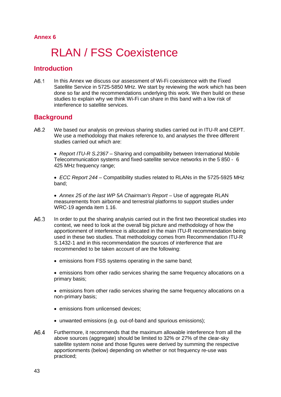#### **Annex 6**

# RLAN / FSS Coexistence

## **Introduction**

A61 In this Annex we discuss our assessment of Wi-Fi coexistence with the Fixed Satellite Service in 5725-5850 MHz. We start by reviewing the work which has been done so far and the recommendations underlying this work. We then build on these studies to explain why we think Wi-Fi can share in this band with a low risk of interference to satellite services.

## **Background**

 $A6.2$ We based our analysis on previous sharing studies carried out in ITU-R and CEPT. We use a methodology that makes reference to, and analyses the three different studies carried out which are:

• *Report ITU-R S.2367* – Sharing and compatibility between International Mobile Telecommunication systems and fixed-satellite service networks in the 5 850 - 6 425 MHz frequency range;

• *ECC Report 244* – Compatibility studies related to RLANs in the 5725-5925 MHz band;

• *Annex 25 of the last WP 5A Chairman's Report* – Use of aggregate RLAN measurements from airborne and terrestrial platforms to support studies under WRC-19 agenda item 1.16.

- $A6.3$ In order to put the sharing analysis carried out in the first two theoretical studies into context, we need to look at the overall big picture and methodology of how the apportionment of interference is allocated in the main ITU-R recommendation being used in these two studies. That methodology comes from Recommendation ITU-R S.1432-1 and in this recommendation the sources of interference that are recommended to be taken account of are the following:
	- emissions from FSS systems operating in the same band;
	- emissions from other radio services sharing the same frequency allocations on a primary basis;
	- emissions from other radio services sharing the same frequency allocations on a non-primary basis;
	- emissions from unlicensed devices:
	- unwanted emissions (e.g. out-of-band and spurious emissions);
- $A6.4$ Furthermore, it recommends that the maximum allowable interference from all the above sources (aggregate) should be limited to 32% or 27% of the clear-sky satellite system noise and those figures were derived by summing the respective apportionments (below) depending on whether or not frequency re-use was practiced;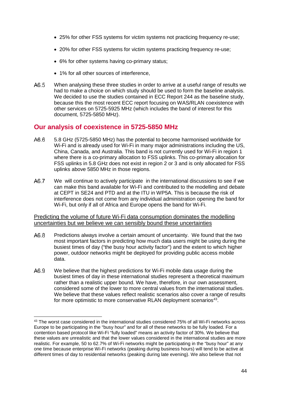- 25% for other FSS systems for victim systems not practicing frequency re-use;
- 20% for other FSS systems for victim systems practicing frequency re-use;
- 6% for other systems having co-primary status;
- 1% for all other sources of interference.
- A6.5 When analysing these three studies in order to arrive at a useful range of results we had to make a choice on which study should be used to form the baseline analysis. We decided to use the studies contained in ECC Report 244 as the baseline study, because this the most recent ECC report focusing on WAS/RLAN coexistence with other services on 5725-5925 MHz (which includes the band of interest for this document, 5725-5850 MHz).

### **Our analysis of coexistence in 5725-5850 MHz**

- A6.6 5.8 GHz (5725-5850 MHz) has the potential to become harmonised worldwide for Wi-Fi and is already used for Wi-Fi in many major administrations including the US, China, Canada, and Australia. This band is not currently used for Wi-Fi in region 1 where there is a co-primary allocation to FSS uplinks. This co-primary allocation for FSS uplinks in 5.8 GHz does not exist in region 2 or 3 and is only allocated for FSS uplinks above 5850 MHz in those regions.
- A6.7 We will continue to actively participate in the international discussions to see if we can make this band available for Wi-Fi and contributed to the modelling and debate at CEPT in SE24 and PTD and at the ITU in WP5A. This is because the risk of interference does not come from any individual administration opening the band for Wi-Fi, but only if all of Africa and Europe opens the band for Wi-Fi.

#### Predicting the volume of future Wi-Fi data consumption dominates the modelling uncertainties but we believe we can sensibly bound these uncertainties

- $A6.8$ Predictions always involve a certain amount of uncertainty. We found that the two most important factors in predicting how much data users might be using during the busiest times of day ("the busy hour activity factor") and the extent to which higher power, outdoor networks might be deployed for providing public access mobile data.
- A6.9 We believe that the highest predictions for Wi-Fi mobile data usage during the busiest times of day in these international studies represent a theoretical maximum rather than a realistic upper bound. We have, therefore, in our own assessment, considered some of the lower to more central values from the international studies. We believe that these values reflect realistic scenarios also cover a range of results for more optimistic to more conservative RLAN deployment scenarios<sup>[43](#page-44-0)</sup>.

<span id="page-44-0"></span><sup>&</sup>lt;sup>43</sup> The worst case considered in the international studies considered 75% of all Wi-Fi networks across Europe to be participating in the "busy hour" and for all of these networks to be fully loaded. For a contention based protocol like Wi-Fi "fully loaded" means an activity factor of 30%. We believe that these values are unrealistic and that the lower values considered in the international studies are more realistic. For example, 50 to 62.7% of Wi-Fi networks might be participating in the "busy hour" at any one time because enterprise Wi-Fi networks (peaking during business hours) will tend to be active at different times of day to residential networks (peaking during late evening). We also believe that not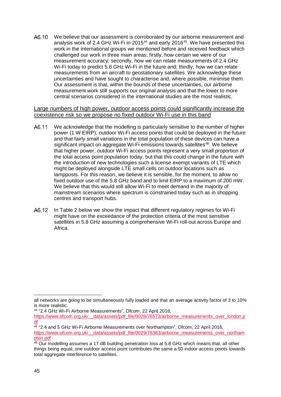A6.10 We believe that our assessment is corroborated by our airborne measurement and analysis work of 2.4 GHz Wi-Fi in 2015<sup>[44](#page-45-0)</sup> and early 2016<sup>[45](#page-45-1)</sup>. We have presented this work in the international groups we mentioned before and received feedback which challenged our work in three main areas: firstly, how certain we were of our measurement accuracy; secondly, how we can relate measurements of 2.4 GHz Wi-Fi today to predict 5.8 GHz Wi-Fi in the future and; thirdly, how we can relate measurements from an aircraft to geostationary satellites. We acknowledge these uncertainties and have sought to characterise and, where possible, minimise them. Our assessment is that, within the bounds of these uncertainties, our airborne measurement work still supports our original analysis and that the lower to more central scenarios considered in the international studies are the most realistic.

Large numbers of high power, outdoor access points could significantly increase the coexistence risk so we propose no fixed outdoor Wi-Fi use in this band

- We acknowledge that the modelling is particularly sensitive to the number of higher A6.11 power (1 W EIRP), outdoor Wi-Fi access points that could be deployed in the future and that fairly small variations in the total population of these devices can have a significant impact on aggregate Wi-Fi emissions towards satellites<sup>[46](#page-45-2)</sup>. We believe that higher power, outdoor Wi-Fi access points represent a very small proportion of the total access point population today, but that this could change in the future with the introduction of new technologies such a license exempt variants of LTE which might be deployed alongside LTE small cells on outdoor locations such as lampposts. For this reason, we believe it is sensible, for the moment, to allow no fixed outdoor use of the 5.8 GHz band and to limit EIRP to a maximum of 200 mW. We believe that this would still allow Wi-Fi to meet demand in the majority of mainstream scenarios where spectrum is constrained today such as in shopping centres and transport hubs.
- In [Table 2](#page-46-0) below we show the impact that different regulatory regimes for Wi-Fi A6.12 might have on the exceedance of the protection criteria of the most sensitive satellites in 5.8 GHz assuming a comprehensive Wi-Fi roll-out across Europe and Africa.

all networks are going to be simultaneously fully loaded and that an average activity factor of 3 to 10% is more realistic.

<span id="page-45-0"></span><sup>44</sup> "2.4 GHz Wi-Fi Airborne Measurements", Ofcom, 22 April 2016,

[https://www.ofcom.org.uk/\\_\\_data/assets/pdf\\_file/0028/76573/airborne\\_measurements\\_over\\_london.p](https://www.ofcom.org.uk/__data/assets/pdf_file/0028/76573/airborne_measurements_over_london.pdf) [df](https://www.ofcom.org.uk/__data/assets/pdf_file/0028/76573/airborne_measurements_over_london.pdf)

<span id="page-45-1"></span> $45$  "2.4 and 5 GHz Wi-Fi Airborne Measurements over Northampton", Ofcom, 22 April 2016, [https://www.ofcom.org.uk/\\_\\_data/assets/pdf\\_file/0029/78383/airborne\\_measurements\\_over\\_northam](https://www.ofcom.org.uk/__data/assets/pdf_file/0029/78383/airborne_measurements_over_northampton.pdf) [pton.pdf](https://www.ofcom.org.uk/__data/assets/pdf_file/0029/78383/airborne_measurements_over_northampton.pdf)

<span id="page-45-2"></span><sup>&</sup>lt;sup>46</sup> Our modelling assumes a 17 dB building penetration loss at 5.8 GHz which means that, all other things being equal, one outdoor access point contributes the same a 50 indoor access points towards total aggregate interference to satellites.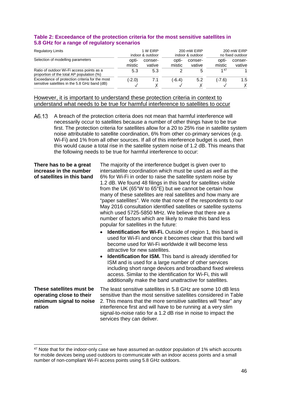<span id="page-46-2"></span><span id="page-46-0"></span>

| Table 2: Exceedance of the protection criteria for the most sensitive satellites in |
|-------------------------------------------------------------------------------------|
| 5.8 GHz for a range of regulatory scenarios                                         |

| <b>Regulatory Limits</b>                                                               |                 | 1 W FIRP<br>indoor & outdoor |                 | 200 mW EIRP<br>indoor & outdoor | 200 mW EIRP<br>no fixed outdoor |                   |
|----------------------------------------------------------------------------------------|-----------------|------------------------------|-----------------|---------------------------------|---------------------------------|-------------------|
| Selection of modelling parameters                                                      | opti-<br>mistic | conser-<br>vative            | opti-<br>mistic | conser-<br>vative               | opti-<br>mistic                 | conser-<br>vative |
| Ratio of outdoor Wi-Fi access points as a<br>proportion of the total AP population (%) | 5.3             | 5.3                          |                 | b                               | 147                             |                   |
| Exceedance of protection criteria for the most                                         | (-2.0)          | 7.1                          | (-6.4)          | 5.2                             | (-7.6)                          | 1.5               |
| sensitive satellites in the 5.8 GHz band (dB)                                          |                 |                              |                 |                                 |                                 |                   |

#### However, it is important to understand these protection criteria in context to understand what needs to be true for harmful interference to satellites to occur

A breach of the protection criteria does not mean that harmful interference will A6.13 necessarily occur to satellites because a number of other things have to be true first. The protection criteria for satellites allow for a 20 to 25% rise in satellite system noise attributable to satellite coordination, 6% from other co-primary services (e.g. Wi-Fi) and 1% from all other sources. If all of this interference budget is used, then this would cause a total rise in the satellite system noise of 1.2 dB. This means that the following needs to be true for harmful interference to occur:

| There has to be a great<br>increase in the number<br>of satellites in this band           | The majority of the interference budget is given over to<br>intersatellite coordination which must be used as well as the<br>6% for Wi-Fi in order to raise the satellite system noise by<br>1.2 dB. We found 48 filings in this band for satellites visible<br>from the UK (65°W to 65°E) but we cannot be certain how<br>many of these satellites are real satellites and how many are<br>"paper satellites". We note that none of the respondents to our<br>May 2016 consultation identified satellites or satellite systems<br>which used 5725-5850 MHz. We believe that there are a<br>number of factors which are likely to make this band less<br>popular for satellites in the future: |
|-------------------------------------------------------------------------------------------|------------------------------------------------------------------------------------------------------------------------------------------------------------------------------------------------------------------------------------------------------------------------------------------------------------------------------------------------------------------------------------------------------------------------------------------------------------------------------------------------------------------------------------------------------------------------------------------------------------------------------------------------------------------------------------------------|
|                                                                                           | <b>Identification for Wi-Fi.</b> Outside of region 1, this band is<br>used for Wi-Fi and once it becomes clear that this band will<br>become used for Wi-Fi worldwide it will become less<br>attractive for new satellites.<br><b>Identification for ISM.</b> This band is already identified for<br>ISM and is used for a large number of other services<br>including short range devices and broadband fixed wireless<br>access. Similar to the identification for Wi-Fi, this will<br>additionally make the band unattractive for satellites.                                                                                                                                               |
| These satellites must be<br>operating close to their<br>minimum signal to noise<br>ration | The least sensitive satellites in 5.8 GHz are some 10 dB less<br>sensitive than the most sensitive satellites considered in Table<br>2. This means that the more sensitive satellites will "hear" any<br>interference first and will have to be running at a very slim<br>signal-to-noise ratio for a 1.2 dB rise in noise to impact the                                                                                                                                                                                                                                                                                                                                                       |

services they can deliver.

<span id="page-46-1"></span><sup>&</sup>lt;sup>47</sup> Note that for the indoor-only case we have assumed an outdoor population of 1% which accounts for mobile devices being used outdoors to communicate with an indoor access points and a small number of non-compliant Wi-Fi access points using 5.8 GHz outdoors.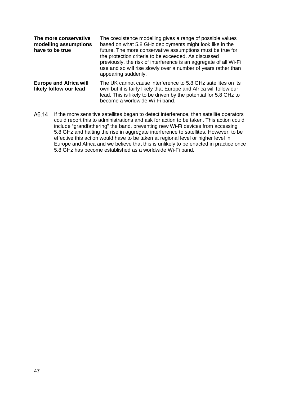| The more conservative<br>modelling assumptions<br>have to be true | The coexistence modelling gives a range of possible values<br>based on what 5.8 GHz deployments might look like in the<br>future. The more conservative assumptions must be true for<br>the protection criteria to be exceeded. As discussed<br>previously, the risk of interference is an aggregate of all Wi-Fi<br>use and so will rise slowly over a number of years rather than<br>appearing suddenly. |
|-------------------------------------------------------------------|------------------------------------------------------------------------------------------------------------------------------------------------------------------------------------------------------------------------------------------------------------------------------------------------------------------------------------------------------------------------------------------------------------|
| <b>Europe and Africa will</b><br>likely follow our lead           | The UK cannot cause interference to 5.8 GHz satellites on its<br>own but it is fairly likely that Europe and Africa will follow our<br>lead. This is likely to be driven by the potential for 5.8 GHz to<br>become a worldwide Wi-Fi band.                                                                                                                                                                 |

A6.14 If the more sensitive satellites began to detect interference, then satellite operators could report this to administrations and ask for action to be taken. This action could include "grandfathering" the band, preventing new Wi-Fi devices from accessing 5.8 GHz and halting the rise in aggregate interference to satellites. However, to be effective this action would have to be taken at regional level or higher level in Europe and Africa and we believe that this is unlikely to be enacted in practice once 5.8 GHz has become established as a worldwide Wi-Fi band.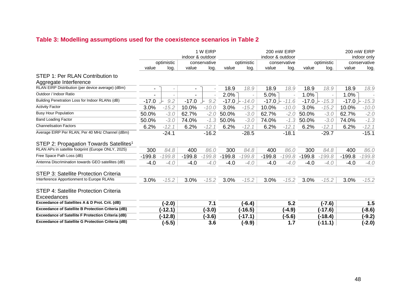## **Table 3: Modelling assumptions used for the coexistence scenarios in [Table 2](#page-46-2)**

<span id="page-48-0"></span>

|                                                           |          |                          | indoor & outdoor         | 1 W EIRP     | 200 mW EIRP<br>indoor & outdoor |            |              |          | 200 mW EIRP<br>indoor only |           |          |              |
|-----------------------------------------------------------|----------|--------------------------|--------------------------|--------------|---------------------------------|------------|--------------|----------|----------------------------|-----------|----------|--------------|
|                                                           |          | optimistic               |                          | conservative |                                 | optimistic | conservative |          | optimistic                 |           |          | conservative |
|                                                           | value    | log.                     | value                    | log.         | value                           | log.       | value        | log.     | value                      | log.      | value    | log.         |
| STEP 1: Per RLAN Contribution to                          |          |                          |                          |              |                                 |            |              |          |                            |           |          |              |
| Aggregate Interference                                    |          |                          |                          |              |                                 |            |              |          |                            |           |          |              |
| RLAN EIRP Distribution (per device average) (dBm)         |          | $\overline{\phantom{a}}$ | $\overline{\phantom{a}}$ |              | 18.9                            | 18.9       | 18.9         | 18.9     | 18.9                       | 18.9      | 18.9     | 18.9         |
| Outdoor / Indoor Ratio                                    |          |                          |                          |              | 2.0%                            |            | $5.0\%$      |          | 1.0%                       |           | 1.0%     |              |
| Building Penetration Loss for Indoor RLANs (dB)           | $-17.0$  | 9.2                      | $-17.0$                  | 9.2          | -17.0 →                         | -14.0      | $-17.0$      | $-11.6$  | $-17.0$ .                  | $-15.3$   | $-17.0$  | $-15.3$      |
| <b>Activity Factor</b>                                    | 3.0%     | $-15.2$                  | 10.0%                    | $-10.0$      | 3.0%                            | $-15.2$    | 10.0%        | $-10.0$  | 3.0%                       | $-15.2$   | 10.0%    | $-10.0$      |
| <b>Busy Hour Population</b>                               | 50.0%    | $-3.0$                   | 62.7%                    | $-2.0$       | 50.0%                           | $-3.0$     | 62.7%        | $-2.0$   | 50.0%                      | $-3.0$    | 62.7%    | $-2.0$       |
| <b>Band Loading Factor</b>                                | 50.0%    | $-3.0$                   | 74.0%                    | $-1.3$       | 50.0%                           | $-3.0$     | 74.0%        | $-1.3$   | 50.0%                      | $-3.0$    | 74.0%    | $-1.3$       |
| <b>Channelisation Factors</b>                             | 6.2%     | $-12.1$                  | 6.2%                     | $-12.1$      | 6.2%                            | $-12.1$    | 6.2%         | $-12.1$  | 6.2%                       | $-12.1$   | 6.2%     | $-12.1$      |
| Average EIRP Per RLAN, Per 40 MHz Channel (dBm)           |          | $-24.1$                  |                          | $-16.2$      |                                 | $-28.5$    |              | $-18.1$  |                            | $-29.7$   |          | $-15.1$      |
| STEP 2: Propagation Towards Satellites <sup>1</sup>       |          |                          |                          |              |                                 |            |              |          |                            |           |          |              |
| RLAN APs in satellite footprint (Europe ONLY, 2025)       | 300      | 84.8                     | 400                      | 86.0         | 300                             | 84.8       | 400          | 86.0     | 300                        | 84.8      | 400      | 86.0         |
| Free Space Path Loss (dB)                                 | $-199.8$ | $-199.8$                 | $-199.8$                 | $-199.8$     | $-199.8$                        | $-199.8$   | $-199.8$     | $-199.8$ | $-199.8$                   | $-199.8$  | $-199.8$ | $-199.8$     |
| Antenna Discrimination towards GEO satellites (dB)        | $-4.0$   | $-4.0$                   | $-4.0$                   | $-4.0$       | $-4.0$                          | $-4.0$     | -4.0         | $-4.0$   | $-4.0$                     | $-4.0$    | $-4.0$   | $-4.0$       |
| STEP 3: Satellite Protection Criteria                     |          |                          |                          |              |                                 |            |              |          |                            |           |          |              |
| Interference Apportionment to Europe RLANs                | 3.0%     | $-15.2$                  | 3.0%                     | $-15.2$      | 3.0%                            | $-15.2$    | 3.0%         | $-15.2$  | 3.0%                       | $-15.2$   | 3.0%     | $-15.2$      |
| STEP 4: Satellite Protection Criteria                     |          |                          |                          |              |                                 |            |              |          |                            |           |          |              |
| Exceedances                                               |          |                          |                          |              |                                 |            |              |          |                            |           |          |              |
| Exceedance of Satellites A & D Prot. Crit. (dB)           |          | (-2.0)                   |                          | 7.1          |                                 | $(-6.4)$   |              | 5.2      |                            | $(-7.6)$  |          | 1.5          |
| Exceedance of Satellite B Protection Criteria (dB)        |          | $(-12.1)$                |                          | $(-3.0)$     |                                 | (-16.5)    |              | $(-4.9)$ |                            | $(-17.6)$ |          | $(-8.6)$     |
| <b>Exceedance of Satellite F Protection Criteria (dB)</b> |          | $(-12.8)$                |                          | $(-3.6)$     |                                 | $-17.1)$   |              | $(-5.6)$ |                            | $(-18.4)$ |          | $(-9.2)$     |
| <b>Exceedance of Satellite G Protection Criteria (dB)</b> |          | $(-5.5)$                 |                          | 3.6          |                                 | $-9.9)$    |              | 1.7      |                            | $(-11.1)$ |          | $(-2.0)$     |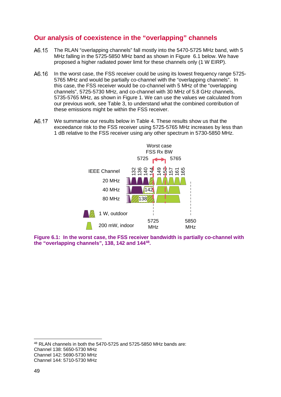## **Our analysis of coexistence in the "overlapping" channels**

- A6.15 The RLAN "overlapping channels" fall mostly into the 5470-5725 MHz band, with 5 MHz falling in the 5725-5850 MHz band as shown in Figure 6.1 below. We have proposed a higher radiated power limit for these channels only (1 W EIRP).
- A6.16 In the worst case, the FSS receiver could be using its lowest frequency range 5725- 5765 MHz and would be partially co-channel with the "overlapping channels". In this case, the FSS receiver would be co-channel with 5 MHz of the "overlapping channels", 5725-5730 MHz, and co-channel with 30 MHz of 5.8 GHz channels, 5735-5765 MHz, as shown in [Figure 1](#page-49-0). We can use the values we calculated from our previous work, see [Table 3,](#page-48-0) to understand what the combined contribution of these emissions might be within the FSS receiver.
- A6.17 We summarise our results below in [Table 4.](#page-50-0) These results show us that the exceedance risk to the FSS receiver using 5725-5765 MHz increases by less than 1 dB relative to the FSS receiver using any other spectrum in 5730-5850 MHz.



<span id="page-49-0"></span>**Figure 6.1: In the worst case, the FSS receiver bandwidth is partially co-channel with the "overlapping channels", 138, 142 and 144[48.](#page-49-1)**

<span id="page-49-1"></span>48 RLAN channels in both the 5470-5725 and 5725-5850 MHz bands are:

- Channel 138: 5650-5730 MHz
- Channel 142: 5690-5730 MHz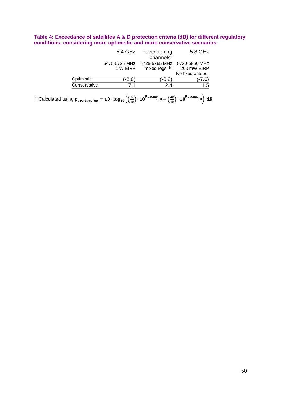#### <span id="page-50-0"></span>**Table 4: Exceedance of satellites A & D protection criteria (dB) for different regulatory conditions, considering more optimistic and more conservative scenarios.**

|              | 5.4 GHz  | "overlapping                              | 5.8 GHz          |
|--------------|----------|-------------------------------------------|------------------|
|              |          | channels"                                 |                  |
|              |          | 5470-5725 MHz 5725-5765 MHz 5730-5850 MHz |                  |
|              | 1 W EIRP | mixed regs. [a]                           | 200 mW EIRP      |
|              |          |                                           | No fixed outdoor |
| Optimistic   | $(-2.0)$ | (-6.8)                                    | $(-7.6)$         |
| Conservative | 71       | 2.4                                       | 1.5              |

 $^{[a]}$  Calculated using  $p_{\emph{overlapping}}=10\cdot\log_{10}\left(\left(\frac{5}{40}\right)\cdot10^{p_{5.4\text{GHz}}}/_{10}+\left(\frac{30}{40}\right)\cdot10^{p_{5.8\text{GHz}}}/_{10}\right)\,dB$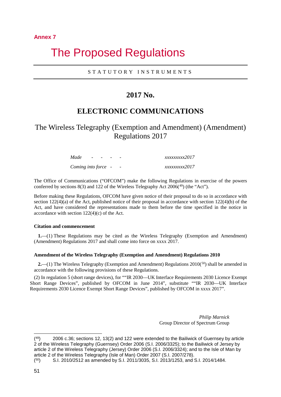#### **Annex 7**

## 7 The Proposed Regulations

#### STATUTORY INSTRUMENTS

## **2017 No.**

## **ELECTRONIC COMMUNICATIONS**

## The Wireless Telegraphy (Exemption and Amendment) (Amendment) Regulations 2017

| Made                | $ -$ |  | xxxxxxxxx2017 |
|---------------------|------|--|---------------|
| Coming into force - |      |  | xxxxxxxxx2017 |

The Office of Communications ("OFCOM") make the following Regulations in exercise of the powers conferred by sections 8(3) and 122 of the Wireless Telegraphy Act  $2006<sup>(49)</sup>$  $2006<sup>(49)</sup>$  $2006<sup>(49)</sup>$  (the "Act").

Before making these Regulations, OFCOM have given notice of their proposal to do so in accordance with section  $122(4)(a)$  of the Act, published notice of their proposal in accordance with section  $122(4)(b)$  of the Act, and have considered the representations made to them before the time specified in the notice in accordance with section 122(4)(c) of the Act.

#### **Citation and commencement**

**1.**—(1) These Regulations may be cited as the Wireless Telegraphy (Exemption and Amendment) (Amendment) Regulations 2017 and shall come into force on xxxx 2017.

#### **Amendment of the Wireless Telegraphy (Exemption and Amendment) Regulations 2010**

**2.**—(1) The Wireless Telegraphy (Exemption and Amendment) Regulations 2010(<sup>[50](#page-51-1)</sup>) shall be amended in accordance with the following provisions of these Regulations.

(2) In regulation 5 (short range devices), for ""IR 2030—UK Interface Requirements 2030 Licence Exempt Short Range Devices", published by OFCOM in June 2014", substitute ""IR 2030—UK Interface Requirements 2030 Licence Exempt Short Range Devices", published by OFCOM in xxxx 2017".

> *Philip Marnick* Group Director of Spectrum Group

-

<span id="page-51-0"></span> $(49)$  2006 c.36; sections 12, 13(2) and 122 were extended to the Bailiwick of Guernsey by article 2 of the Wireless Telegraphy (Guernsey) Order 2006 (S.I. 2006/3325); to the Bailiwick of Jersey by article 2 of the Wireless Telegraphy (Jersey) Order 2006 (S.I. 2006/3324); and to the Isle of Man by article 2 of the Wireless Telegraphy (Isle of Man) Order 2007 (S.I. 2007/278).

<span id="page-51-1"></span><sup>(50)</sup> S.I. 2010/2512 as amended by S.I. 2011/3035, S.I. 2013/1253, and S.I. 2014/1484.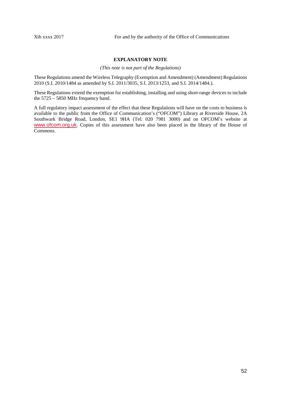#### **EXPLANATORY NOTE**

*(This note is not part of the Regulations)*

These Regulations amend the Wireless Telegraphy (Exemption and Amendment) (Amendment) Regulations 2010 (S.I. 2010/1484 as amended by S.I. 2011/3035, S.I. 2013/1253, and S.I. 2014/1484.).

These Regulations extend the exemption for establishing, installing and using short-range devices to include the 5725 – 5850 MHz frequency band.

A full regulatory impact assessment of the effect that these Regulations will have on the costs to business is available to the public from the Office of Communication's ("OFCOM") Library at Riverside House, 2A Southwark Bridge Road, London, SE1 9HA (Tel: 020 7981 3000) and on OFCOM's website at [www.ofcom.org.uk](http://www.ofcom.org.uk/). Copies of this assessment have also been placed in the library of the House of Commons.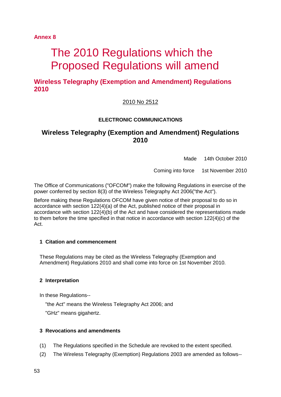**Annex 8**

# The 2010 Regulations which the Proposed Regulations will amend

**Wireless Telegraphy (Exemption and Amendment) Regulations 2010**

## 2010 No 2512

#### **ELECTRONIC COMMUNICATIONS**

## **Wireless Telegraphy (Exemption and Amendment) Regulations 2010**

Made 14th October 2010

Coming into force 1st November 2010

The Office of Communications ("OFCOM") make the following Regulations in exercise of the power conferred by section 8(3) of the Wireless Telegraphy Act 2006("the Act").

Before making these Regulations OFCOM have given notice of their proposal to do so in accordance with section 122(4)(a) of the Act, published notice of their proposal in accordance with section 122(4)(b) of the Act and have considered the representations made to them before the time specified in that notice in accordance with section 122(4)(c) of the Act.

#### **1 Citation and commencement**

These Regulations may be cited as the Wireless Telegraphy (Exemption and Amendment) Regulations 2010 and shall come into force on 1st November 2010.

#### **2 Interpretation**

In these Regulations--

"the Act" means the Wireless Telegraphy Act 2006; and "GHz" means gigahertz.

#### **3 Revocations and amendments**

- (1) The Regulations specified in the Schedule are revoked to the extent specified.
- (2) The Wireless Telegraphy (Exemption) Regulations 2003 are amended as follows--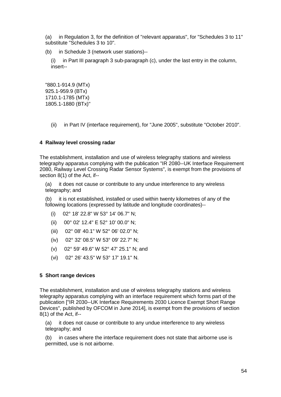(a) in Regulation 3, for the definition of "relevant apparatus", for "Schedules 3 to 11" substitute "Schedules 3 to 10".

(b) in Schedule 3 (network user stations)--

(i) in Part III paragraph 3 sub-paragraph (c), under the last entry in the column, insert--

"880.1-914.9 (MTx) 925.1-959.9 (BTx) 1710.1-1785 (MTx) 1805.1-1880 (BTx)"

(ii) in Part IV (interface requirement), for "June 2005", substitute "October 2010".

#### **4 Railway level crossing radar**

The establishment, installation and use of wireless telegraphy stations and wireless telegraphy apparatus complying with the publication "IR 2080--UK Interface Requirement 2080, Railway Level Crossing Radar Sensor Systems", is exempt from the provisions of section 8(1) of the Act, if--

(a) it does not cause or contribute to any undue interference to any wireless telegraphy; and

(b) it is not established, installed or used within twenty kilometres of any of the following locations (expressed by latitude and longitude coordinates)--

- (i) 02° 18' 22.8" W 53° 14' 06.7" N;
- (ii) 00° 02' 12.4" E 52° 10' 00.0" N;
- (iii) 02° 08' 40.1" W 52° 06' 02.0" N;
- (iv) 02° 32' 08.5" W 53° 09' 22.7" N;
- (v) 02° 59' 49.6" W 52° 47' 25.1" N; and
- (vi) 02° 26' 43.5" W 53° 17' 19.1" N.

#### **5 Short range devices**

The establishment, installation and use of wireless telegraphy stations and wireless telegraphy apparatus complying with an interface requirement which forms part of the publication ["IR 2030--UK Interface Requirements 2030 Licence Exempt Short Range Devices", published by OFCOM in June 2014], is exempt from the provisions of section 8(1) of the Act, if--

(a) it does not cause or contribute to any undue interference to any wireless telegraphy; and

(b) in cases where the interface requirement does not state that airborne use is permitted, use is not airborne.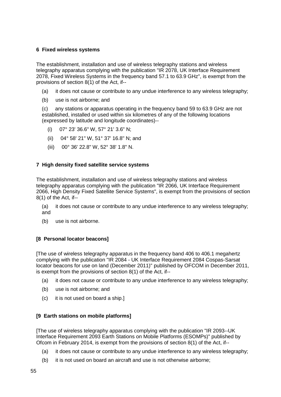#### **6 Fixed wireless systems**

The establishment, installation and use of wireless telegraphy stations and wireless telegraphy apparatus complying with the publication "IR 2078, UK Interface Requirement 2078, Fixed Wireless Systems in the frequency band 57.1 to 63.9 GHz", is exempt from the provisions of section 8(1) of the Act, if--

- (a) it does not cause or contribute to any undue interference to any wireless telegraphy;
- (b) use is not airborne; and

(c) any stations or apparatus operating in the frequency band 59 to 63.9 GHz are not established, installed or used within six kilometres of any of the following locations (expressed by latitude and longitude coordinates)--

- (i) 07° 23' 36.6" W, 57° 21' 3.6" N;
- (ii) 04° 58' 21" W, 51° 37' 16.8" N; and
- (iii) 00° 36' 22.8" W, 52° 38' 1.8" N.

#### **7 High density fixed satellite service systems**

The establishment, installation and use of wireless telegraphy stations and wireless telegraphy apparatus complying with the publication "IR 2066, UK Interface Requirement 2066, High Density Fixed Satellite Service Systems", is exempt from the provisions of section 8(1) of the Act, if--

(a) it does not cause or contribute to any undue interference to any wireless telegraphy; and

(b) use is not airborne.

#### **[8 Personal locator beacons]**

[The use of wireless telegraphy apparatus in the frequency band 406 to 406.1 megahertz complying with the publication "IR 2084 - UK Interface Requirement 2084 Cospas-Sarsat locator beacons for use on land (December 2011)" published by OFCOM in December 2011, is exempt from the provisions of section 8(1) of the Act, if--

- (a) it does not cause or contribute to any undue interference to any wireless telegraphy;
- (b) use is not airborne; and
- (c) it is not used on board a ship.]

#### **[9 Earth stations on mobile platforms]**

[The use of wireless telegraphy apparatus complying with the publication "IR 2093--UK Interface Requirement 2093 Earth Stations on Mobile Platforms (ESOMPs)" published by Ofcom in February 2014, is exempt from the provisions of section 8(1) of the Act, if--

- (a) it does not cause or contribute to any undue interference to any wireless telegraphy;
- (b) it is not used on board an aircraft and use is not otherwise airborne;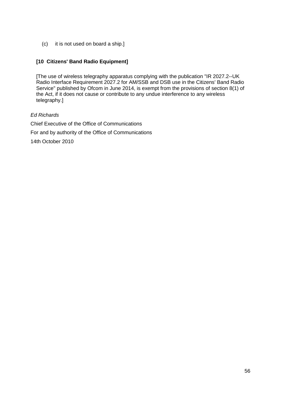(c) it is not used on board a ship.]

#### **[10 Citizens' Band Radio Equipment]**

[The use of wireless telegraphy apparatus complying with the publication "IR 2027.2--UK Radio Interface Requirement 2027.2 for AM/SSB and DSB use in the Citizens' Band Radio Service" published by Ofcom in June 2014, is exempt from the provisions of section 8(1) of the Act, if it does not cause or contribute to any undue interference to any wireless telegraphy.]

#### *Ed Richards*

Chief Executive of the Office of Communications For and by authority of the Office of Communications 14th October 2010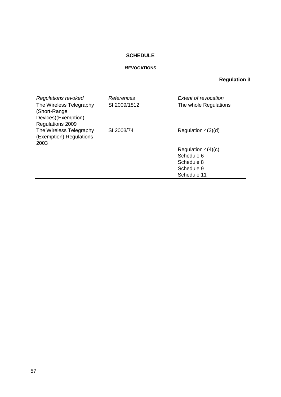## **SCHEDULE**

#### **REVOCATIONS**

## **Regulation 3**

| <b>Regulations revoked</b>                                                         | References   | <b>Extent of revocation</b> |
|------------------------------------------------------------------------------------|--------------|-----------------------------|
| The Wireless Telegraphy<br>(Short-Range<br>Devices)(Exemption)<br>Regulations 2009 | SI 2009/1812 | The whole Regulations       |
| The Wireless Telegraphy<br>(Exemption) Regulations<br>2003                         | SI 2003/74   | Regulation 4(3)(d)          |
|                                                                                    |              | Regulation $4(4)(c)$        |
|                                                                                    |              | Schedule 6                  |
|                                                                                    |              | Schedule 8                  |
|                                                                                    |              | Schedule 9                  |
|                                                                                    |              | Schedule 11                 |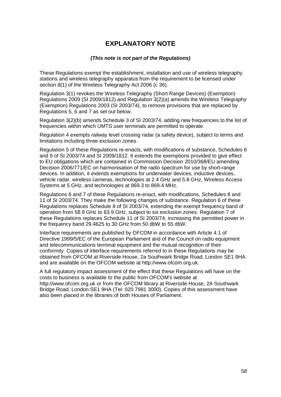## **EXPLANATORY NOTE**

#### *(This note is not part of the Regulations)*

These Regulations exempt the establishment, installation and use of wireless telegraphy stations and wireless telegraphy apparatus from the requirement to be licensed under section 8(1) of the Wireless Telegraphy Act 2006 (c 36).

Regulation 3(1) revokes the Wireless Telegraphy (Short Range Devices) (Exemption) Regulations 2009 (SI 2009/1812) and Regulation 3(2)(a) amends the Wireless Telegraphy (Exemption) Regulations 2003 (SI 2003/74), to remove provisions that are replaced by Regulations 5, 6 and 7 as set out below.

Regulation 3(2)(b) amends Schedule 3 of SI 2003/74, adding new frequencies to the list of frequencies within which UMTS user terminals are permitted to operate.

Regulation 4 exempts railway level crossing radar (a safety device), subject to terms and limitations including three exclusion zones.

Regulation 5 of these Regulations re-enacts, with modifications of substance, Schedules 6 and 9 of SI 2003/74 and SI 2009/1812. It extends the exemptions provided to give effect to EU obligations which are contained in Commission Decision 2010/368/EU amending Decision 2006/771/EC on harmonisation of the radio spectrum for use by short-range devices. In addition, it extends exemptions for underwater devices, inductive devices, vehicle radar, wireless cameras, technologies at 2.4 GHz and 5.8 GHz, Wireless Access Systems at 5 GHz, and technologies at 869.3 to 869.4 MHz.

Regulations 6 and 7 of these Regulations re-enact, with modifications, Schedules 8 and 11 of SI 2003/74. They make the following changes of substance. Regulation 6 of these Regulations replaces Schedule 8 of SI 2003/74, extending the exempt frequency band of operation from 58.9 GHz to 63.9 GHz, subject to six exclusion zones. Regulation 7 of these Regulations replaces Schedule 11 of SI 2003/74, increasing the permitted power in the frequency band 29.4625 to 30 GHz from 50 dbW to 55 dbW.

Interface requirements are published by OFCOM in accordance with Article 4.1 of Directive 1999/5/EC of the European Parliament and of the Council on radio equipment and telecommunications terminal equipment and the mutual recognition of their conformity. Copies of interface requirements referred to in these Regulations may be obtained from OFCOM at Riverside House, 2a Southwark Bridge Road, London SE1 9HA and are available on the OFCOM website at http://www.ofcom.org.uk.

A full regulatory impact assessment of the effect that these Regulations will have on the costs to business is available to the public from OFCOM's website at http://www.ofcom.org.uk or from the OFCOM library at Riverside House, 2A Southwark Bridge Road, London SE1 9HA (Tel: 020 7981 3000). Copies of this assessment have also been placed in the libraries of both Houses of Parliament.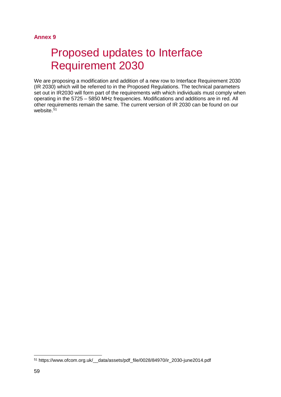#### **Annex 9**

# Proposed updates to Interface Requirement 2030

We are proposing a modification and addition of a new row to Interface Requirement 2030 (IR 2030) which will be referred to in the Proposed Regulations. The technical parameters set out in IR2030 will form part of the requirements with which individuals must comply when operating in the 5725 – 5850 MHz frequencies. Modifications and additions are in red. All other requirements remain the same. The current version of IR 2030 can be found on our website. [51](#page-59-0)

<span id="page-59-0"></span> <sup>51</sup> https://www.ofcom.org.uk/\_\_data/assets/pdf\_file/0028/84970/ir\_2030-june2014.pdf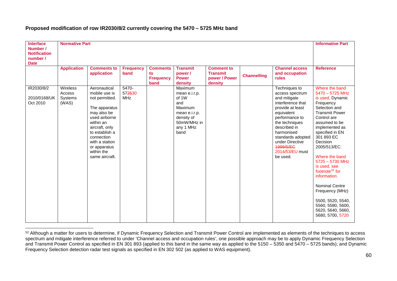| <b>Interface</b><br>Number /<br><b>Notification</b><br>number /<br><b>Date</b> | <b>Normative Part</b>                  |                                                                                                                                                                                                                                   |                               |                                                   |                                                                                                                        |                                                                  |                    |                                                                                                                                                                                                                                                               | <b>Informative Part</b>                                                                                                                                                                                                                                                                                                                                                                                                                                         |
|--------------------------------------------------------------------------------|----------------------------------------|-----------------------------------------------------------------------------------------------------------------------------------------------------------------------------------------------------------------------------------|-------------------------------|---------------------------------------------------|------------------------------------------------------------------------------------------------------------------------|------------------------------------------------------------------|--------------------|---------------------------------------------------------------------------------------------------------------------------------------------------------------------------------------------------------------------------------------------------------------|-----------------------------------------------------------------------------------------------------------------------------------------------------------------------------------------------------------------------------------------------------------------------------------------------------------------------------------------------------------------------------------------------------------------------------------------------------------------|
|                                                                                | <b>Application</b>                     | <b>Comments to</b><br>application                                                                                                                                                                                                 | <b>Frequency</b><br>band      | <b>Comments</b><br>to<br><b>Frequency</b><br>band | <b>Transmit</b><br>power /<br><b>Power</b><br>density                                                                  | <b>Comment to</b><br><b>Transmit</b><br>power / Power<br>density | <b>Channelling</b> | <b>Channel access</b><br>and occupation<br>rules                                                                                                                                                                                                              | <b>Reference</b>                                                                                                                                                                                                                                                                                                                                                                                                                                                |
| IR2030/8/2<br>2010/0168/UK<br>Oct 2010                                         | Wireless<br>Access<br>Systems<br>(WAS) | Aeronautical<br>mobile use is<br>not permitted.<br>The apparatus<br>may also be<br>used airborne<br>within an<br>aircraft, only<br>to establish a<br>connection<br>with a station<br>or apparatus<br>within the<br>same aircraft. | 5470-<br>572530<br><b>MHz</b> |                                                   | Maximum<br>mean e.i.r.p.<br>of 1W<br>and<br>Maximum<br>mean e.i.r.p.<br>density of<br>50mW/MHz in<br>any 1 MHz<br>band |                                                                  |                    | Techniques to<br>access spectrum<br>and mitigate<br>interference that<br>provide at least<br>equivalent<br>performance to<br>the techniques<br>described in<br>harmonised<br>standards adopted<br>under Directive<br>4999/5/EC<br>2014/53/EU must<br>be used. | Where the band<br>5470 - 5725 MHz<br>is used, Dynamic<br>Frequency<br>Selection and<br><b>Transmit Power</b><br>Control are<br>assumed to be<br>implemented as<br>specified in EN<br>301 893 EC<br>Decision<br>2005/513/EC.<br>Where the band<br>$5725 - 5730$ MHz<br>is used, see<br>footnote <sup>52</sup> for<br>information.<br><b>Nominal Centre</b><br>Frequency (MHz)<br>5500, 5520, 5540,<br>5560, 5580, 5600,<br>5620, 5640, 5660,<br>5680, 5700, 5720 |

#### <span id="page-60-0"></span>**Proposed modification of row IR2030/8/2 currently covering the 5470 – 5725 MHz band**

<sup>52</sup> Although a matter for users to determine, if Dynamic Frequency Selection and Transmit Power Control are implemented as elements of the techniques to access spectrum and mitigate interference referred to under 'Channel access and occupation rules', one possible approach may be to apply Dynamic Frequency Selection and Transmit Power Control as specified in EN 301 893 (applied to this band in the same way as applied to the 5150 – 5350 and 5470 – 5725 bands); and Dynamic Frequency Selection detection radar test signals as specified in EN 302 502 (as applied to WAS equipment).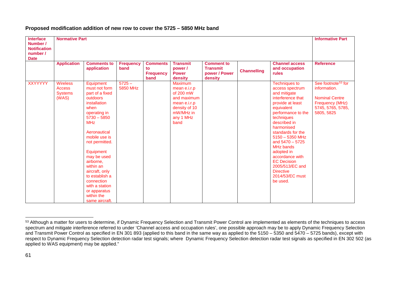| <b>Interface</b>                                           | <b>Normative Part</b>                                       |                                                                                                                                                                                                                                                                                                                                                               |                          |                                                   |                                                                                                                               |                                                                  |                    |                                                                                                                                                                                                                                                                                                                                                                                                  | <b>Informative Part</b>                                                                                                       |
|------------------------------------------------------------|-------------------------------------------------------------|---------------------------------------------------------------------------------------------------------------------------------------------------------------------------------------------------------------------------------------------------------------------------------------------------------------------------------------------------------------|--------------------------|---------------------------------------------------|-------------------------------------------------------------------------------------------------------------------------------|------------------------------------------------------------------|--------------------|--------------------------------------------------------------------------------------------------------------------------------------------------------------------------------------------------------------------------------------------------------------------------------------------------------------------------------------------------------------------------------------------------|-------------------------------------------------------------------------------------------------------------------------------|
| Number /<br><b>Notification</b><br>number /<br><b>Date</b> |                                                             |                                                                                                                                                                                                                                                                                                                                                               |                          |                                                   |                                                                                                                               |                                                                  |                    |                                                                                                                                                                                                                                                                                                                                                                                                  |                                                                                                                               |
|                                                            | <b>Application</b>                                          | <b>Comments to</b><br>application                                                                                                                                                                                                                                                                                                                             | <b>Frequency</b><br>band | <b>Comments</b><br>to<br><b>Frequency</b><br>band | <b>Transmit</b><br>power /<br><b>Power</b><br>density                                                                         | <b>Comment to</b><br><b>Transmit</b><br>power / Power<br>density | <b>Channelling</b> | <b>Channel access</b><br>and occupation<br>rules                                                                                                                                                                                                                                                                                                                                                 | <b>Reference</b>                                                                                                              |
| <b>XXYYYYY</b>                                             | <b>Wireless</b><br><b>Access</b><br><b>Systems</b><br>(WAS) | Equipment<br>must not form<br>part of a fixed<br>outdoors<br>installation<br>when<br>operating in<br>$5730 - 5850$<br><b>MHz</b><br>Aeronautical<br>mobile use is<br>not permitted.<br>Equipment<br>may be used<br>airborne.<br>within an<br>aircraft, only<br>to establish a<br>connection<br>with a station<br>or apparatus<br>within the<br>same aircraft. | $5725 -$<br>5850 MHz     |                                                   | <b>Maximum</b><br>mean e.i.r.p<br>of 200 mW<br>and maximum<br>mean e.i.r.p<br>density of 10<br>mW/MHz in<br>any 1 MHz<br>band |                                                                  |                    | <b>Techniques to</b><br>access spectrum<br>and mitigate<br>interference that<br>provide at least<br>equivalent<br>performance to the<br>techniques<br>described in<br>harmonised<br>standards for the<br>$5150 - 5350$ MHz<br>and $5470 - 5725$<br><b>MHz bands</b><br>adopted in<br>accordance with<br><b>EC Decision</b><br>2005/513/EC and<br><b>Directive</b><br>2014/53/EC must<br>be used. | See footnote <sup>53</sup> for<br>information.<br><b>Nominal Centre</b><br>Frequency (MHz)<br>5745, 5765, 5785,<br>5805, 5825 |

#### <span id="page-61-0"></span>**Proposed modification addition of new row to cover the 5725 – 5850 MHz band**

<sup>53</sup> Although a matter for users to determine, if Dynamic Frequency Selection and Transmit Power Control are implemented as elements of the techniques to access spectrum and mitigate interference referred to under 'Channel access and occupation rules', one possible approach may be to apply Dynamic Frequency Selection and Transmit Power Control as specified in EN 301 893 (applied to this band in the same way as applied to the 5150 – 5350 and 5470 – 5725 bands), except with respect to Dynamic Frequency Selection detection radar test signals; where Dynamic Frequency Selection detection radar test signals as specified in EN 302 502 (as applied to WAS equipment) may be applied."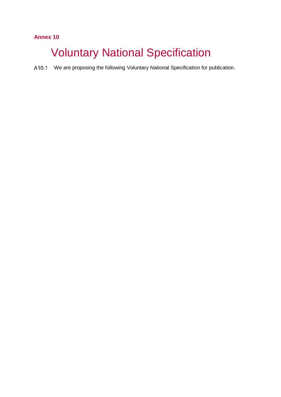## **Annex 10**

# **Voluntary National Specification**

A10.1 We are proposing the following Voluntary National Specification for publication.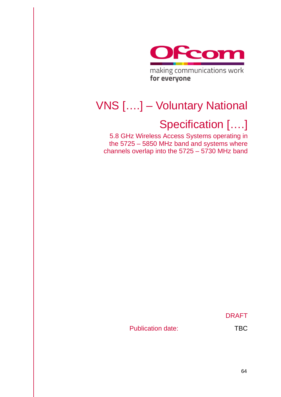

# VNS [….] – Voluntary National

# Specification [….]

5.8 GHz Wireless Access Systems operating in the 5725 – 5850 MHz band and systems where channels overlap into the 5725 – 5730 MHz band

DRAFT

Publication date: TBC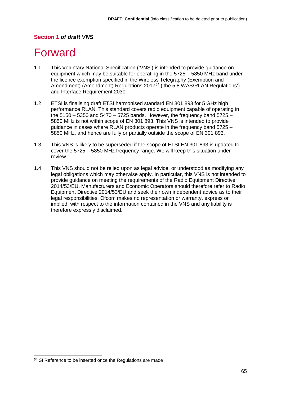### **Section 1** *of draft VNS*

## **Forward**

- 1.1 This Voluntary National Specification ('VNS') is intended to provide guidance on equipment which may be suitable for operating in the 5725 – 5850 MHz band under the licence exemption specified in the Wireless Telegraphy (Exemption and Amendment) (Amendment) Regulations 2017<sup>[54](#page-65-0)</sup> ('the 5.8 WAS/RLAN Regulations') and Interface Requirement 2030.
- 1.2 ETSI is finalising draft ETSI harmonised standard EN 301 893 for 5 GHz high performance RLAN. This standard covers radio equipment capable of operating in the  $5150 - 5350$  and  $5470 - 5725$  bands. However, the frequency band  $5725 -$ 5850 MHz is not within scope of EN 301 893. This VNS is intended to provide guidance in cases where RLAN products operate in the frequency band 5725 – 5850 MHz, and hence are fully or partially outside the scope of EN 301 893.
- 1.3 This VNS is likely to be superseded if the scope of ETSI EN 301 893 is updated to cover the 5725 – 5850 MHz frequency range. We will keep this situation under review.
- 1.4 This VNS should not be relied upon as legal advice, or understood as modifying any legal obligations which may otherwise apply. In particular, this VNS is not intended to provide guidance on meeting the requirements of the Radio Equipment Directive 2014/53/EU. Manufacturers and Economic Operators should therefore refer to Radio Equipment Directive 2014/53/EU and seek their own independent advice as to their legal responsibilities. Ofcom makes no representation or warranty, express or implied, with respect to the information contained in the VNS and any liability is therefore expressly disclaimed.

<span id="page-65-0"></span> <sup>54</sup> SI Reference to be inserted once the Regulations are made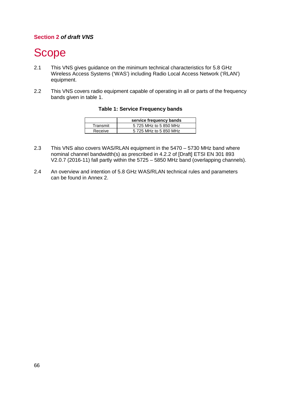## **Section 2** *of draft VNS*

# Scope

- 2.1 This VNS gives guidance on the minimum technical characteristics for 5.8 GHz Wireless Access Systems ('WAS') including Radio Local Access Network ('RLAN') equipment.
- 2.2 This VNS covers radio equipment capable of operating in all or parts of the frequency bands given in table 1.

|          | service frequency bands |
|----------|-------------------------|
| Transmit | 5 725 MHz to 5 850 MHz  |
| Receive  | 5 725 MHz to 5 850 MHz  |

#### **Table 1: Service Frequency bands**

- 2.3 This VNS also covers WAS/RLAN equipment in the 5470 5730 MHz band where nominal channel bandwidth(s) as prescribed in 4.2.2 of [Draft] ETSI EN 301 893 V2.0.7 (2016-11) fall partly within the 5725 – 5850 MHz band (overlapping channels).
- 2.4 An overview and intention of 5.8 GHz WAS/RLAN technical rules and parameters can be found in Annex 2.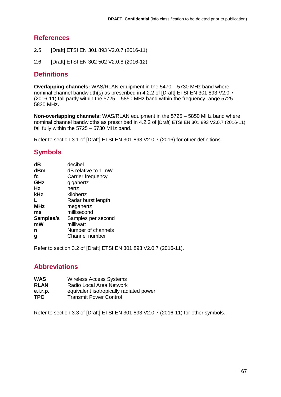## **References**

- 2.5 [Draft] ETSI EN 301 893 V2.0.7 (2016-11)
- 2.6 [Draft] ETSI EN 302 502 V2.0.8 (2016-12).

## **Definitions**

**Overlapping channels:** WAS/RLAN equipment in the 5470 – 5730 MHz band where nominal channel bandwidth(s) as prescribed in 4.2.2 of [Draft] ETSI EN 301 893 V2.0.7 (2016-11) fall partly within the 5725 – 5850 MHz band within the frequency range 5725 – 5830 MHz**.**

**Non-overlapping channels:** WAS/RLAN equipment in the 5725 – 5850 MHz band where nominal channel bandwidths as prescribed in 4.2.2 of [Draft] ETSI EN 301 893 V2.0.7 (2016-11) fall fully within the 5725 – 5730 MHz band.

Refer to section 3.1 of [Draft] ETSI EN 301 893 V2.0.7 (2016) for other definitions.

## **Symbols**

| dB         | decibel             |
|------------|---------------------|
| dBm        | dB relative to 1 mW |
| fc         | Carrier frequency   |
| GHz        | gigahertz           |
| Hz         | hertz               |
| kHz        | kilohertz           |
| L          | Radar burst length  |
| <b>MHz</b> | megahertz           |
| ms         | millisecond         |
| Samples/s  | Samples per second  |
| mW         | milliwatt           |
| n          | Number of channels  |
| g          | Channel number      |

Refer to section 3.2 of [Draft] ETSI EN 301 893 V2.0.7 (2016-11).

## **Abbreviations**

- **WAS** Wireless Access Systems<br> **RLAN** Radio Local Area Network
- **Radio Local Area Network**
- **e.i.r.p.** equivalent isotropically radiated power<br> **TPC** Transmit Power Control
- **Transmit Power Control**

Refer to section 3.3 of [Draft] ETSI EN 301 893 V2.0.7 (2016-11) for other symbols.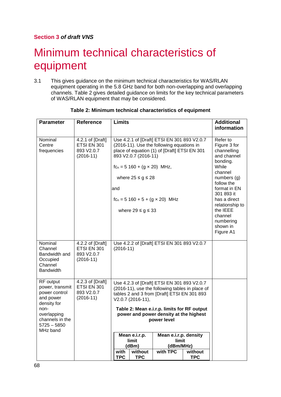## **Section 3** *of draft VNS*

# **Minimum technical characteristics of** equipment

3.1 This gives guidance on the minimum technical characteristics for WAS/RLAN equipment operating in the 5.8 GHz band for both non-overlapping and overlapping channels. Table 2 gives detailed guidance on limits for the key technical parameters of WAS/RLAN equipment that may be considered.

| <b>Parameter</b>                                                                                                                               | <b>Reference</b>                                             | <b>Limits</b>                                                                                                                                                                                                                                                                                                                                                                                                                             | <b>Additional</b><br>information                                                                                                                                                                                                                    |
|------------------------------------------------------------------------------------------------------------------------------------------------|--------------------------------------------------------------|-------------------------------------------------------------------------------------------------------------------------------------------------------------------------------------------------------------------------------------------------------------------------------------------------------------------------------------------------------------------------------------------------------------------------------------------|-----------------------------------------------------------------------------------------------------------------------------------------------------------------------------------------------------------------------------------------------------|
| Nominal<br>Centre<br>frequencies                                                                                                               | 4.2.1 of [Draft]<br>ETSI EN 301<br>893 V2.0.7<br>$(2016-11)$ | Use 4.2.1 of [Draft] ETSI EN 301 893 V2.0.7<br>(2016-11). Use the following equations in<br>place of equation (1) of [Draft] ETSI EN 301<br>893 V2.0.7 (2016-11)<br>$fc_n = 5160 + (g \times 20)$ MHz,<br>where $25 \le g \le 28$<br>and<br>$f_{Cn} = 5 160 + 5 + (g \times 20)$ MHz<br>where $29 \le g \le 33$                                                                                                                           | Refer to<br>Figure 3 for<br>channelling<br>and channel<br>bonding.<br>While<br>channel<br>numbers $(g)$<br>follow the<br>format in EN<br>301 893 it<br>has a direct<br>relationship to<br>the IEEE<br>channel<br>numbering<br>shown in<br>Figure A1 |
| Nominal<br>Channel<br>Bandwidth and<br>Occupied<br>Channel<br><b>Bandwidth</b>                                                                 | 4.2.2 of [Draft]<br>ETSI EN 301<br>893 V2.0.7<br>$(2016-11)$ | Use 4.2.2 of [Draft] ETSI EN 301 893 V2.0.7<br>$(2016-11)$                                                                                                                                                                                                                                                                                                                                                                                |                                                                                                                                                                                                                                                     |
| RF output<br>power, transmit<br>power control<br>and power<br>density for<br>non-<br>overlapping<br>channels in the<br>5725 - 5850<br>MHz band | 4.2.3 of [Draft]<br>ETSI EN 301<br>893 V2.0.7<br>$(2016-11)$ | Use 4.2.3 of [Draft] ETSI EN 301 893 V2.0.7<br>(2016-11), use the following tables in place of<br>tables 2 and 3 from [Draft] ETSI EN 301 893<br>V2.0.7 (2016-11),<br>Table 2: Mean e.i.r.p. limits for RF output<br>power and power density at the highest<br>power level<br>Mean e.i.r.p. density<br>Mean e.i.r.p.<br>limit<br>limit<br>(dBm/MHz)<br>(dBm)<br>with TPC<br>without<br>without<br>with<br><b>TPC</b><br><b>TPC</b><br>TPC |                                                                                                                                                                                                                                                     |

#### **Table 2: Minimum technical characteristics of equipment**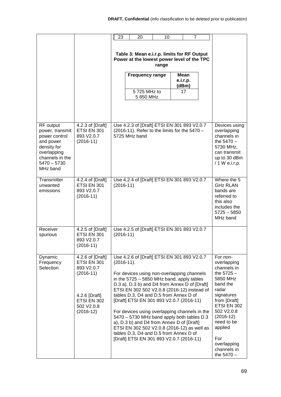|                                                                                                                                          |                                                                                                                           | 23                                                                                        | 20                                                                                                                                                                                                                                                                                                                                                                                                                                                                                                                                                                                                              | 10 | 7                |  |                                                                                                                                                                                                                                                 |
|------------------------------------------------------------------------------------------------------------------------------------------|---------------------------------------------------------------------------------------------------------------------------|-------------------------------------------------------------------------------------------|-----------------------------------------------------------------------------------------------------------------------------------------------------------------------------------------------------------------------------------------------------------------------------------------------------------------------------------------------------------------------------------------------------------------------------------------------------------------------------------------------------------------------------------------------------------------------------------------------------------------|----|------------------|--|-------------------------------------------------------------------------------------------------------------------------------------------------------------------------------------------------------------------------------------------------|
|                                                                                                                                          |                                                                                                                           | Table 3: Mean e.i.r.p. limits for RF Output<br>Power at the lowest power level of the TPC |                                                                                                                                                                                                                                                                                                                                                                                                                                                                                                                                                                                                                 |    |                  |  |                                                                                                                                                                                                                                                 |
|                                                                                                                                          |                                                                                                                           |                                                                                           | <b>Frequency range</b>                                                                                                                                                                                                                                                                                                                                                                                                                                                                                                                                                                                          |    | Mean<br>e.i.r.p. |  |                                                                                                                                                                                                                                                 |
|                                                                                                                                          |                                                                                                                           |                                                                                           | 5725 MHz to                                                                                                                                                                                                                                                                                                                                                                                                                                                                                                                                                                                                     |    | (dBm)<br>17      |  |                                                                                                                                                                                                                                                 |
|                                                                                                                                          |                                                                                                                           |                                                                                           | 5 850 MHz                                                                                                                                                                                                                                                                                                                                                                                                                                                                                                                                                                                                       |    |                  |  |                                                                                                                                                                                                                                                 |
| RF output<br>power, transmit<br>power control<br>and power<br>density for<br>overlapping<br>channels in the<br>$5470 - 5730$<br>MHz band | 4.2.3 of [Draft]<br>ETSI EN 301<br>893 V2.0.7<br>$(2016-11)$                                                              |                                                                                           | Use 4.2.3 of [Draft] ETSI EN 301 893 V2.0.7<br>(2016-11). Refer to the limits for the 5470 -<br>5725 MHz band                                                                                                                                                                                                                                                                                                                                                                                                                                                                                                   |    |                  |  | Devices using<br>overlapping<br>channels in<br>the $5470 -$<br>5730 MHz,<br>can transmit<br>up to 30 dBm<br>/ 1 W e.i.r.p.                                                                                                                      |
| Transmitter<br>unwanted<br>emissions                                                                                                     | $\overline{4.2.4}$ of [Draft]<br>ETSI EN 301<br>893 V2.0.7<br>$(2016-11)$                                                 | $(2016-11)$                                                                               | Use 4.2.4 of [Draft] ETSI EN 301 893 V2.0.7                                                                                                                                                                                                                                                                                                                                                                                                                                                                                                                                                                     |    |                  |  | Where the 5<br><b>GHz RLAN</b><br>bands are<br>referred to<br>this also<br>includes the<br>$5725 - 5850$<br>MHz band                                                                                                                            |
| Receiver<br>spurious                                                                                                                     | 4.2.5 of [Draft]<br>ETSI EN 301<br>893 V2.0.7<br>$(2016-11)$                                                              | $(2016-11)$                                                                               | Use 4.2.5 of [Draft] ETSI EN 301 893 V2.0.7                                                                                                                                                                                                                                                                                                                                                                                                                                                                                                                                                                     |    |                  |  |                                                                                                                                                                                                                                                 |
| Dynamic<br>Frequency<br>Selection                                                                                                        | 4.2.6 of [Draft]<br>ETSI EN 301<br>893 V2.0.7<br>$(2016-11)$<br>4.2.6 [Draft]<br>ETSI EN 302<br>502 V2.0.8<br>$(2016-12)$ | $(2016-11).$                                                                              | Use 4.2.6 of [Draft] ETSI EN 301 893 V2.0.7<br>For devices using non-overlapping channels<br>in the $5725 - 5850$ MHz band, apply tables<br>D.3 a), D.3 b) and D4 from Annex D of [Draft]<br>ETSI EN 302 502 V2.0.8 (2016-12) instead of<br>tables D.3, D4 and D.5 from Annex D of<br>[Draft] ETSI EN 301 893 V2.0.7 (2016-11)<br>For devices using overlapping channels in the<br>5470 - 5730 MHz band apply both tables D.3<br>a), D.3 b) and D4 from Annex D of [Draft]<br>ETSI EN 302 502 V2.0.8 (2016-12) as well as<br>tables D.3, D4 and D.5 from Annex D of<br>[Draft] ETSI EN 301 893 V2.0.7 (2016-11) |    |                  |  | For non-<br>overlapping<br>channels in<br>the $5725 -$<br>5850 MHz<br>band the<br>radar<br>signatures<br>from [Draft]<br>ETSI EN 302<br>502 V2.0.8<br>$(2016-12)$<br>need to be<br>applied<br>For<br>overlapping<br>channels in<br>the $5470 -$ |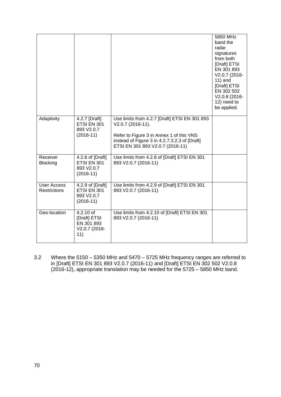|                                           |                                                                 |                                                                                                                                                                                                     | 5850 MHz<br>band the<br>radar<br>signatures<br>from both<br>[Draft] ETSI<br>EN 301 893<br>V2.0.7 (2016-<br>$11)$ and<br>[Draft] ETSI<br>EN 302 502<br>V2.0.8 (2016-<br>12) need to<br>be applied. |
|-------------------------------------------|-----------------------------------------------------------------|-----------------------------------------------------------------------------------------------------------------------------------------------------------------------------------------------------|---------------------------------------------------------------------------------------------------------------------------------------------------------------------------------------------------|
| Adaptivity                                | 4.2.7 [Draft]<br>ETSI EN 301<br>893 V2.0.7<br>$(2016-11)$       | Use limits from 4.2.7 [Draft] ETSI EN 301 893<br>V2.0.7 (2016-11).<br>Refer to Figure 3 in Annex 1 of this VNS<br>instead of Figure 3 in 4.2.7.3.2.3 of [Draft]<br>ETSI EN 301 893 V2.0.7 (2016-11) |                                                                                                                                                                                                   |
| Receiver<br><b>Blocking</b>               | 4.2.8 of [Draft]<br>ETSI EN 301<br>893 V2.0.7<br>$(2016-11)$    | Use limits from 4.2.8 of [Draft] ETSI EN 301<br>893 V2.0.7 (2016-11)                                                                                                                                |                                                                                                                                                                                                   |
| <b>User Access</b><br><b>Restrictions</b> | 4.2.9 of [Draft]<br>ETSI EN 301<br>893 V2.0.7<br>$(2016-11)$    | Use limits from 4.2.9 of [Draft] ETSI EN 301<br>893 V2.0.7 (2016-11)                                                                                                                                |                                                                                                                                                                                                   |
| Geo-location                              | 4.2.10 of<br>[Draft] ETSI<br>EN 301 893<br>V2.0.7 (2016-<br>11) | Use limits from 4.2.10 of [Draft] ETSI EN 301<br>893 V2.0.7 (2016-11)                                                                                                                               |                                                                                                                                                                                                   |

3.2 Where the 5150 – 5350 MHz and 5470 – 5725 MHz frequency ranges are referred to in [Draft] ETSI EN 301 893 V2.0.7 (2016-11) and [Draft] ETSI EN 302 502 V2.0.8 (2016-12), appropriate translation may be needed for the 5725 – 5850 MHz band.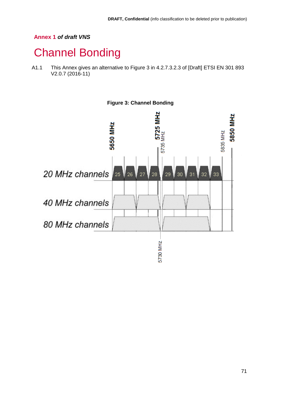## **Annex 1** *of draft VNS*

## Channel Bonding

A1.1 This Annex gives an alternative to Figure 3 in 4.2.7.3.2.3 of [Draft] ETSI EN 301 893 V2.0.7 (2016-11)

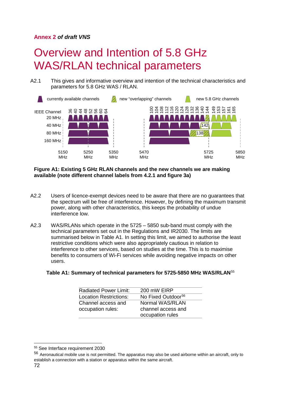### **Annex 2** *of draft VNS*

# Overview and Intention of 5.8 GHz WAS/RLAN technical parameters

A2.1 This gives and informative overview and intention of the technical characteristics and parameters for 5.8 GHz WAS / RLAN.



#### **Figure A1: Existing 5 GHz RLAN channels and the new channels we are making available (note different channel labels from 4.2.1 and figure 3a)**

- A2.2 Users of licence-exempt devices need to be aware that there are no guarantees that the spectrum will be free of interference. However, by defining the maximum transmit power, along with other characteristics, this keeps the probability of undue interference low.
- A2.3 WAS/RLANs which operate in the 5725 5850 sub-band must comply with the technical parameters set out in the Regulations and IR2030. The limits are summarised below in Table A1. In setting this limit, we aimed to authorise the least restrictive conditions which were also appropriately cautious in relation to interference to other services, based on studies at the time. This is to maximise benefits to consumers of Wi-Fi services while avoiding negative impacts on other users.

#### **Table A1: Summary of technical parameters for 5725-5850 MHz WAS/RLAN**[55](#page-72-0)

| <b>Radiated Power Limit:</b> | 200 mW EIRP                    |
|------------------------------|--------------------------------|
| Location Restrictions:       | No Fixed Outdoor <sup>56</sup> |
| Channel access and           | Normal WAS/RLAN                |
| occupation rules:            | channel access and             |
|                              | occupation rules               |

<span id="page-72-0"></span> <sup>55</sup> See Interface requirement 2030

<span id="page-72-1"></span><sup>56</sup> Aeronautical mobile use is not permitted. The apparatus may also be used airborne within an aircraft, only to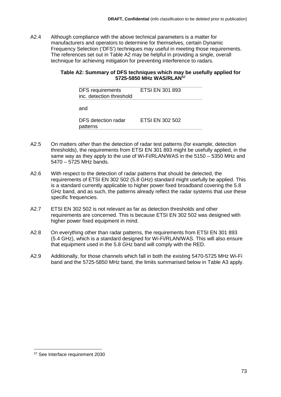A2.4 Although compliance with the above technical parameters is a matter for manufacturers and operators to determine for themselves, certain Dynamic Frequency Selection ('DFS') techniques may useful in meeting those requirements. The references set out in Table A2 may be helpful in providing a single, overall technique for achieving mitigation for preventing interference to radars.

#### **Table A2: Summary of DFS techniques which may be usefully applied for 5725-5850 MHz WAS/RLAN[57](#page-73-0)**

| <b>DFS</b> requirements<br>inc. detection threshold | <b>ETSI EN 301 893</b> |  |
|-----------------------------------------------------|------------------------|--|
| and                                                 |                        |  |
| DFS detection radar<br>patterns                     | ETSI EN 302 502        |  |

- A2.5 On matters *other* than the detection of radar test patterns (for example, detection thresholds), the requirements from ETSI EN 301 893 might be usefully applied, in the same way as they apply to the use of Wi-Fi/RLAN/WAS in the 5150 – 5350 MHz and 5470 – 5725 MHz bands.
- A2.6 With respect to the detection of radar patterns that should be detected, the requirements of ETSI EN 302 502 (5.8 GHz) standard might usefully be applied. This is a standard currently applicable to higher power fixed broadband covering the 5.8 GHz band, and as such, the patterns already reflect the radar systems that use these specific frequencies.
- A2.7 ETSI EN 302 502 is not relevant as far as detection thresholds and other requirements are concerned. This is because ETSI EN 302 502 was designed with higher power fixed equipment in mind.
- A2.8 On everything other than radar patterns, the requirements from ETSI EN 301 893 (5.4 GHz), which is a standard designed for Wi-Fi/RLAN/WAS. This will also ensure that equipment used in the 5.8 GHz band will comply with the RED.
- A2.9 Additionally, for those channels which fall in both the existing 5470-5725 MHz Wi-Fi band and the 5725-5850 MHz band, the limits summarised below in Table A3 apply.

<span id="page-73-0"></span> <sup>57</sup> See Interface requirement 2030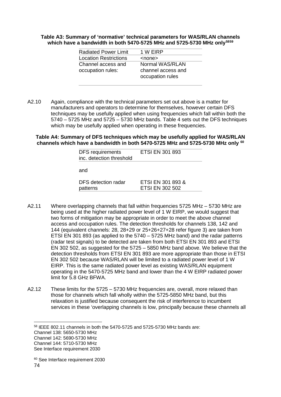#### **Table A3: Summary of 'normative' technical parameters for WAS/RLAN channels which have a bandwidth in both 5470-5725 MHz and 5725-5730 MHz only[58](#page-74-0)[59](#page-74-1)**

| <b>Radiated Power Limit</b>  | 1 W EIRP           |
|------------------------------|--------------------|
| <b>Location Restrictions</b> | <none></none>      |
| Channel access and           | Normal WAS/RLAN    |
| occupation rules:            | channel access and |
|                              | occupation rules   |
|                              |                    |

A2.10 Again, compliance with the technical parameters set out above is a matter for manufacturers and operators to determine for themselves, however certain DFS techniques may be usefully applied when using frequencies which fall within both the 5740 – 5725 MHz and 5725 – 5730 MHz bands. Table 4 sets out the DFS techniques which may be usefully applied when operating in these frequencies.

**Table A4: Summary of DFS techniques which may be usefully applied for WAS/RLAN channels which have a bandwidth in both 5470-5725 MHz and 5725-5730 MHz only [60](#page-74-2)**

| <b>DFS</b> requirements<br>inc. detection threshold | <b>ETSI EN 301 893</b>                      |
|-----------------------------------------------------|---------------------------------------------|
| and                                                 |                                             |
| DFS detection radar<br>patterns                     | ETSI EN 301 893 &<br><b>ETSI EN 302 502</b> |

- A2.11 Where overlapping channels that fall within frequencies 5725 MHz 5730 MHz are being used at the higher radiated power level of 1 W EIRP, we would suggest that two forms of mitigation may be appropriate in order to meet the above channel access and occupation rules. The detection thresholds for channels 138, 142 and 144 (equivalent channels: 28, 28+29 or 25+26+27+28 refer figure 3) are taken from ETSI EN 301 893 (as applied to the 5740 – 5725 MHz band) and the radar patterns (radar test signals) to be detected are taken from both ETSI EN 301 893 and ETSI EN 302 502, as suggested for the 5725 – 5850 MHz band above. We believe that the detection thresholds from ETSI EN 301 893 are more appropriate than those in ETSI EN 302 502 because WAS/RLAN will be limited to a radiated power level of 1 W EIRP. This is the same radiated power level as existing WAS/RLAN equipment operating in the 5470-5725 MHz band and lower than the 4 W EIRP radiated power limit for 5.8 GHz BFWA.
- A2.12 These limits for the 5725 5730 MHz frequencies are, overall, more relaxed than those for channels which fall wholly within the 5725-5850 MHz band, but this relaxation is justified because consequent the risk of interference to incumbent services in these 'overlapping channels is low, principally because these channels all

<span id="page-74-0"></span>58 IEEE 802.11 channels in both the 5470-5725 and 5725-5730 MHz bands are:

<span id="page-74-2"></span><span id="page-74-1"></span>74 <sup>60</sup> See Interface requirement 2030

Channel 138: 5650-5730 MHz

Channel 142: 5690-5730 MHz

Channel 144: 5710-5730 MHz

See Interface requirement 2030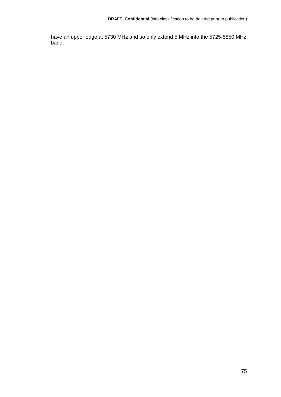have an upper edge at 5730 MHz and so only extend 5 MHz into the 5725-5850 MHz band.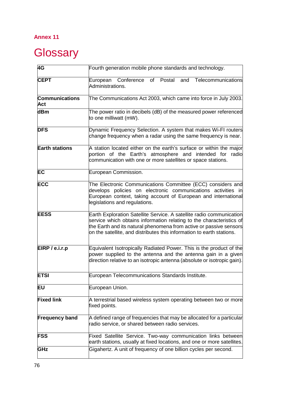## **Annex 11**

# Glossary

| 4G                           | Fourth generation mobile phone standards and technology.                                                                                                                                                                                                                                    |
|------------------------------|---------------------------------------------------------------------------------------------------------------------------------------------------------------------------------------------------------------------------------------------------------------------------------------------|
| <b>CEPT</b>                  | European Conference of Postal and Telecommunications<br>Administrations.                                                                                                                                                                                                                    |
| <b>Communications</b><br>Act | The Communications Act 2003, which came into force in July 2003.                                                                                                                                                                                                                            |
| dBm                          | The power ratio in decibels (dB) of the measured power referenced<br>to one milliwatt (mW).                                                                                                                                                                                                 |
| <b>DFS</b>                   | Dynamic Frequency Selection. A system that makes Wi-FI routers<br>change frequency when a radar using the same frequency is near.                                                                                                                                                           |
| <b>Earth stations</b>        | A station located either on the earth's surface or within the major<br>portion of the Earth's atmosphere and intended for radio<br>communication with one or more satellites or space stations.                                                                                             |
| EC                           | European Commission.                                                                                                                                                                                                                                                                        |
| <b>ECC</b>                   | The Electronic Communications Committee (ECC) considers and<br>develops policies on electronic communications activities in<br>European context, taking account of European and international<br>legislations and regulations.                                                              |
| <b>EESS</b>                  | Earth Exploration Satellite Service. A satellite radio communication<br>service which obtains information relating to the characteristics of<br>the Earth and its natural phenomena from active or passive sensors<br>on the satellite, and distributes this information to earth stations. |
| EIRP / e.i.r.p               | Equivalent Isotropically Radiated Power. This is the product of the<br>power supplied to the antenna and the antenna gain in a given<br>direction relative to an isotropic antenna (absolute or isotropic gain).                                                                            |
| <b>ETSI</b>                  | European Telecommunications Standards Institute.                                                                                                                                                                                                                                            |
| EU                           | European Union.                                                                                                                                                                                                                                                                             |
| <b>Fixed link</b>            | A terrestrial based wireless system operating between two or more<br>fixed points.                                                                                                                                                                                                          |
| <b>Frequency band</b>        | A defined range of frequencies that may be allocated for a particular<br>radio service, or shared between radio services.                                                                                                                                                                   |
| <b>FSS</b>                   | Fixed Satellite Service. Two-way communication links between<br>earth stations, usually at fixed locations, and one or more satellites.                                                                                                                                                     |
| GHz                          | Gigahertz. A unit of frequency of one billion cycles per second.                                                                                                                                                                                                                            |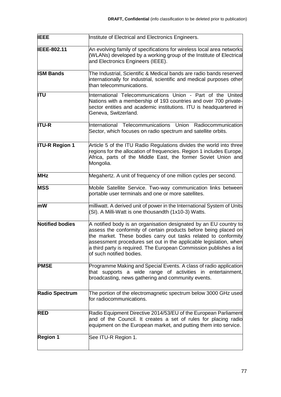| <b>IEEE</b>            | Institute of Electrical and Electronics Engineers.                                                                                                                                                                                                                                                                                                                              |
|------------------------|---------------------------------------------------------------------------------------------------------------------------------------------------------------------------------------------------------------------------------------------------------------------------------------------------------------------------------------------------------------------------------|
| <b>IEEE-802.11</b>     | An evolving family of specifications for wireless local area networks<br>(WLANs) developed by a working group of the Institute of Electrical<br>and Electronics Engineers (IEEE).                                                                                                                                                                                               |
| <b>ISM Bands</b>       | The Industrial, Scientific & Medical bands are radio bands reserved<br>internationally for industrial, scientific and medical purposes other<br>than telecommunications.                                                                                                                                                                                                        |
| <b>ITU</b>             | International Telecommunications Union - Part of the United<br>Nations with a membership of 193 countries and over 700 private-<br>sector entities and academic institutions. ITU is headquartered in<br>Geneva, Switzerland.                                                                                                                                                   |
| <b>ITU-R</b>           | International Telecommunications<br>Union<br>Radiocommunication<br>Sector, which focuses on radio spectrum and satellite orbits.                                                                                                                                                                                                                                                |
| <b>ITU-R Region 1</b>  | Article 5 of the ITU Radio Regulations divides the world into three<br>regions for the allocation of frequencies. Region 1 includes Europe,<br>Africa, parts of the Middle East, the former Soviet Union and<br>Mongolia.                                                                                                                                                       |
| <b>MHz</b>             | Megahertz. A unit of frequency of one million cycles per second.                                                                                                                                                                                                                                                                                                                |
| <b>MSS</b>             | Mobile Satellite Service. Two-way communication links between<br>portable user terminals and one or more satellites.                                                                                                                                                                                                                                                            |
| mW                     | milliwatt. A derived unit of power in the International System of Units<br>(SI). A Milli-Watt is one thousandth (1x10-3) Watts.                                                                                                                                                                                                                                                 |
| <b>Notified bodies</b> | A notified body is an organisation designated by an EU country to<br>assess the conformity of certain products before being placed on<br>the market. These bodies carry out tasks related to conformity<br>assessment procedures set out in the applicable legislation, when<br>a third party is required. The European Commission publishes a list<br>of such notified bodies. |
| <b>PMSE</b>            | Programme Making and Special Events. A class of radio application<br>that supports a wide range of activities in entertainment,<br>broadcasting, news gathering and community events.                                                                                                                                                                                           |
| <b>Radio Spectrum</b>  | The portion of the electromagnetic spectrum below 3000 GHz used<br>for radiocommunications.                                                                                                                                                                                                                                                                                     |
| <b>RED</b>             | Radio Equipment Directive 2014/53/EU of the European Parliament<br>and of the Council. It creates a set of rules for placing radio<br>equipment on the European market, and putting them into service.                                                                                                                                                                          |
| <b>Region 1</b>        | See ITU-R Region 1.                                                                                                                                                                                                                                                                                                                                                             |